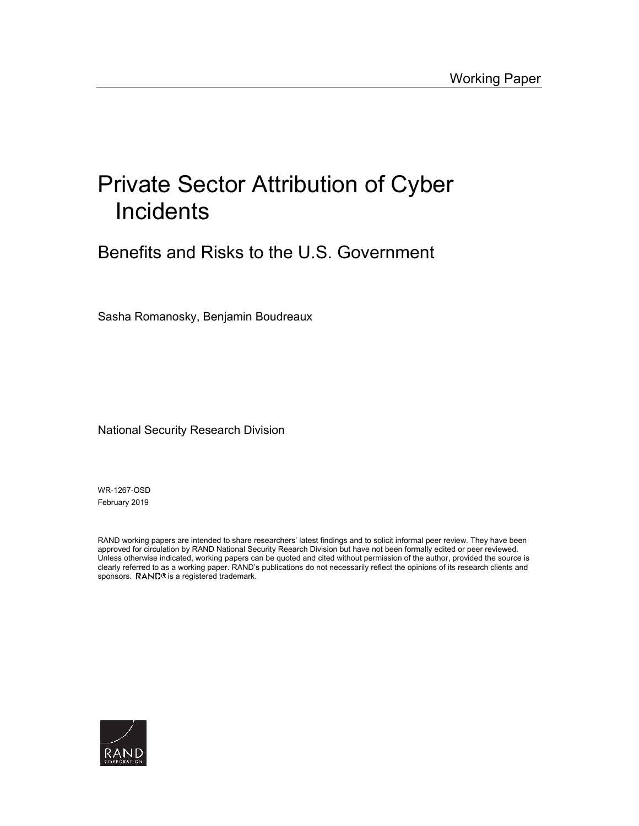# [Private Sector Attribution of Cyber](https://www.rand.org/pubs/working_papers/WR1267.html)  **Incidents**

Benefits and Risks to the U.S. Government

Sasha Romanosky, Benjamin Boudreaux

National Security Research Division

WR-1267-OSD February 2019

RAND working papers are intended to share researchers' latest findings and to solicit informal peer review. They have been approved for circulation by RAND National Security Reearch Division but have not been formally edited or peer reviewed. Unless otherwise indicated, working papers can be quoted and cited without permission of the author, provided the source is clearly referred to as a working paper. RAND's publications do not necessarily reflect the opinions of its research clients and sponsors. RAND® is a registered trademark.

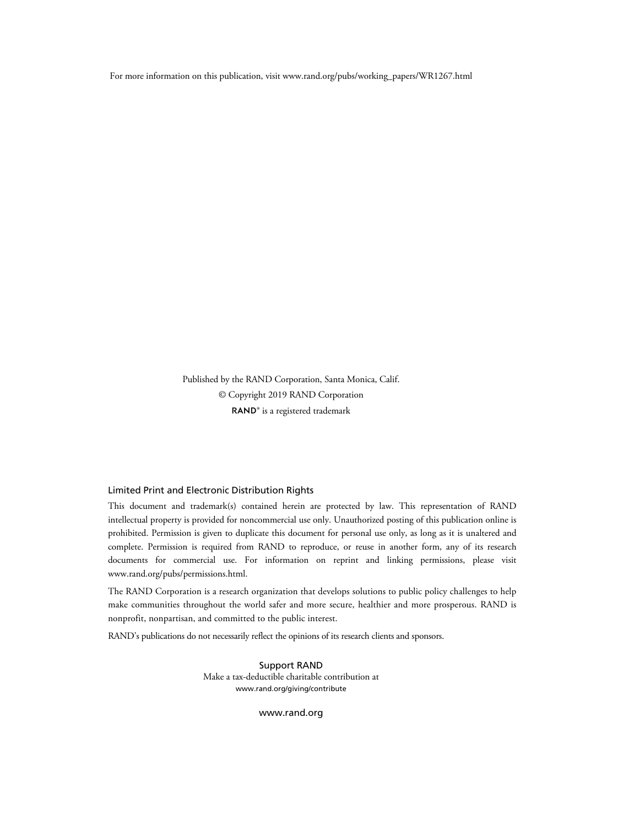For more information on this publication, visit [www.rand.org/pubs/working\\_papers/WR1267.html](http://www.rand.org/pubs/working_papers/WR1267.html)

Published by the RAND Corporation, Santa Monica, Calif. © Copyright 2019 RAND Corporation RAND<sup>®</sup> is a registered trademark

#### Limited Print and Electronic Distribution Rights

This document and trademark(s) contained herein are protected by law. This representation of RAND intellectual property is provided for noncommercial use only. Unauthorized posting of this publication online is prohibited. Permission is given to duplicate this document for personal use only, as long as it is unaltered and complete. Permission is required from RAND to reproduce, or reuse in another form, any of its research documents for commercial use. For information on reprint and linking permissions, please visit [www.rand.org/pubs/permissions.html.](http://www.rand.org/pubs/permissions.html)

The RAND Corporation is a research organization that develops solutions to public policy challenges to help make communities throughout the world safer and more secure, healthier and more prosperous. RAND is nonprofit, nonpartisan, and committed to the public interest.

RAND's publications do not necessarily reflect the opinions of its research clients and sponsors.

Support RAND Make a tax-deductible charitable contribution at [www.rand.org/giving/contribute](http://www.rand.org/giving/contribute)

[www.rand.org](http://www.rand.org)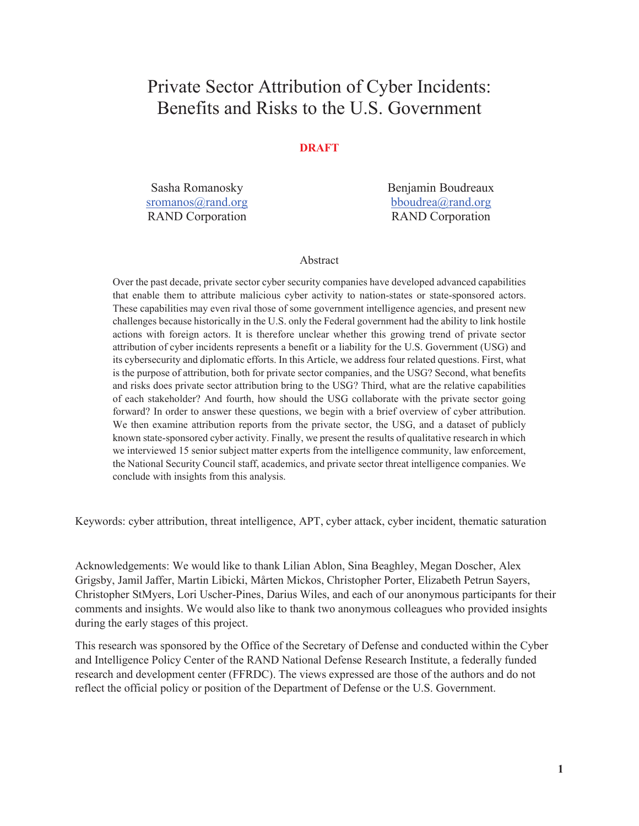## Private Sector Attribution of Cyber Incidents: Benefits and Risks to the U.S. Government

#### **DRAFT**

Sasha Romanosky [sromanos@rand.org](mailto:sromanos@rand.org) RAND Corporation

Benjamin Boudreaux [bboudrea@rand.org](mailto:bboudrea@rand.org) RAND Corporation

#### Abstract

Over the past decade, private sector cyber security companies have developed advanced capabilities that enable them to attribute malicious cyber activity to nation-states or state-sponsored actors. These capabilities may even rival those of some government intelligence agencies, and present new challenges because historically in the U.S. only the Federal government had the ability to link hostile actions with foreign actors. It is therefore unclear whether this growing trend of private sector attribution of cyber incidents represents a benefit or a liability for the U.S. Government (USG) and its cybersecurity and diplomatic efforts. In this Article, we address four related questions. First, what is the purpose of attribution, both for private sector companies, and the USG? Second, what benefits and risks does private sector attribution bring to the USG? Third, what are the relative capabilities of each stakeholder? And fourth, how should the USG collaborate with the private sector going forward? In order to answer these questions, we begin with a brief overview of cyber attribution. We then examine attribution reports from the private sector, the USG, and a dataset of publicly known state-sponsored cyber activity. Finally, we present the results of qualitative research in which we interviewed 15 senior subject matter experts from the intelligence community, law enforcement, the National Security Council staff, academics, and private sector threat intelligence companies. We conclude with insights from this analysis.

Keywords: cyber attribution, threat intelligence, APT, cyber attack, cyber incident, thematic saturation

Acknowledgements: We would like to thank Lilian Ablon, Sina Beaghley, Megan Doscher, Alex Grigsby, Jamil Jaffer, Martin Libicki, Mårten Mickos, Christopher Porter, Elizabeth Petrun Sayers, Christopher StMyers, Lori Uscher-Pines, Darius Wiles, and each of our anonymous participants for their comments and insights. We would also like to thank two anonymous colleagues who provided insights during the early stages of this project.

This research was sponsored by the Office of the Secretary of Defense and conducted within the Cyber and Intelligence Policy Center of the RAND National Defense Research Institute, a federally funded research and development center (FFRDC). The views expressed are those of the authors and do not reflect the official policy or position of the Department of Defense or the U.S. Government.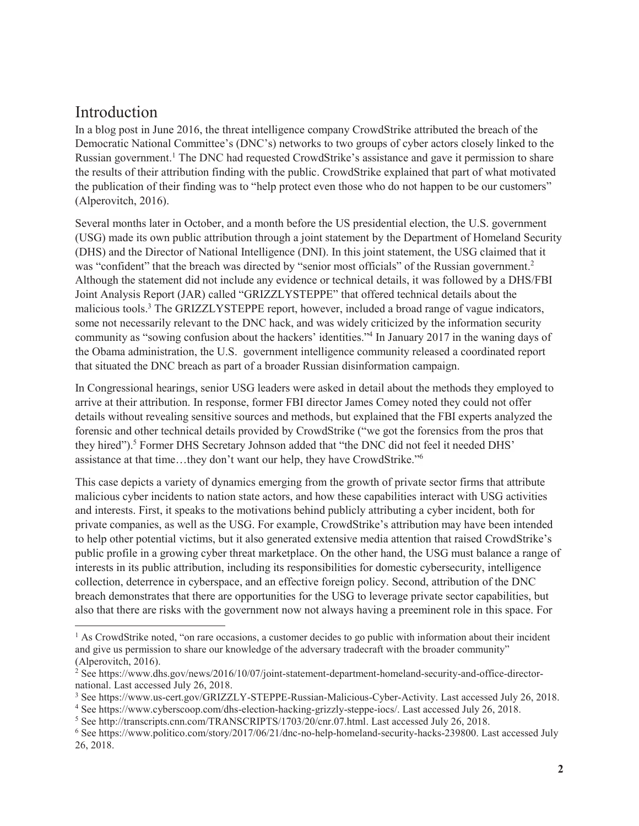## Introduction

 $\overline{a}$ 

In a blog post in June 2016, the threat intelligence company CrowdStrike attributed the breach of the Democratic National Committee's (DNC's) networks to two groups of cyber actors closely linked to the Russian government.<sup>1</sup> The DNC had requested CrowdStrike's assistance and gave it permission to share the results of their attribution finding with the public. CrowdStrike explained that part of what motivated the publication of their finding was to "help protect even those who do not happen to be our customers" (Alperovitch, 2016).

Several months later in October, and a month before the US presidential election, the U.S. government (USG) made its own public attribution through a joint statement by the Department of Homeland Security (DHS) and the Director of National Intelligence (DNI). In this joint statement, the USG claimed that it was "confident" that the breach was directed by "senior most officials" of the Russian government.<sup>2</sup> Although the statement did not include any evidence or technical details, it was followed by a DHS/FBI Joint Analysis Report (JAR) called "GRIZZLYSTEPPE" that offered technical details about the malicious tools.3 The GRIZZLYSTEPPE report, however, included a broad range of vague indicators, some not necessarily relevant to the DNC hack, and was widely criticized by the information security community as "sowing confusion about the hackers' identities."<sup>4</sup> In January 2017 in the waning days of the Obama administration, the U.S. government intelligence community released a coordinated report that situated the DNC breach as part of a broader Russian disinformation campaign.

In Congressional hearings, senior USG leaders were asked in detail about the methods they employed to arrive at their attribution. In response, former FBI director James Comey noted they could not offer details without revealing sensitive sources and methods, but explained that the FBI experts analyzed the forensic and other technical details provided by CrowdStrike ("we got the forensics from the pros that they hired").<sup>5</sup> Former DHS Secretary Johnson added that "the DNC did not feel it needed DHS' assistance at that time…they don't want our help, they have CrowdStrike."<sup>6</sup>

This case depicts a variety of dynamics emerging from the growth of private sector firms that attribute malicious cyber incidents to nation state actors, and how these capabilities interact with USG activities and interests. First, it speaks to the motivations behind publicly attributing a cyber incident, both for private companies, as well as the USG. For example, CrowdStrike's attribution may have been intended to help other potential victims, but it also generated extensive media attention that raised CrowdStrike's public profile in a growing cyber threat marketplace. On the other hand, the USG must balance a range of interests in its public attribution, including its responsibilities for domestic cybersecurity, intelligence collection, deterrence in cyberspace, and an effective foreign policy. Second, attribution of the DNC breach demonstrates that there are opportunities for the USG to leverage private sector capabilities, but also that there are risks with the government now not always having a preeminent role in this space. For

<sup>&</sup>lt;sup>1</sup> As CrowdStrike noted, "on rare occasions, a customer decides to go public with information about their incident and give us permission to share our knowledge of the adversary tradecraft with the broader community" (Alperovitch, 2016).

<sup>&</sup>lt;sup>2</sup> [See https://www.dhs.gov/news/2016/10/07/joint-statement-department-homeland-security-and-office-director](https://www.dhs.gov/news/2016/10/07/joint-statement-department-homeland-security-and-office-director-national)national. Last accessed July 26, 2018.

<sup>&</sup>lt;sup>3</sup> See [https://www.us-cert.gov/GRIZZLY-STEPPE-Russian-Malicious-Cyber-Activity.](https://www.us-cert.gov/GRIZZLY-STEPPE-Russian-Malicious-Cyber-Activity) Last accessed July 26, 2018.<br><sup>4</sup> See https://www.cyberscoon.com/dbs.election.backing.grizzly.steppe.jocs/ Last accessed July 26, 2018.

<sup>&</sup>lt;sup>4</sup> See [https://www.cyberscoop.com/dhs-election-hacking-grizzly-steppe-iocs/. L](https://www.cyberscoop.com/dhs-election-hacking-grizzly-steppe-iocs/)ast accessed July 26, 2018.

See [http://transcripts.cnn.com/TRANSCRIPTS/1703/20/cnr.07.html. L](http://transcripts.cnn.com/TRANSCRIPTS/1703/20/cnr.07.html)ast accessed July 26, 2018.

<sup>6</sup> See [https://www.politico.com/story/2017/06/21/dnc-no-help-homeland-security-hacks-239800.](https://www.politico.com/story/2017/06/21/dnc-no-help-homeland-security-hacks-239800) Last accessed July 26, 2018.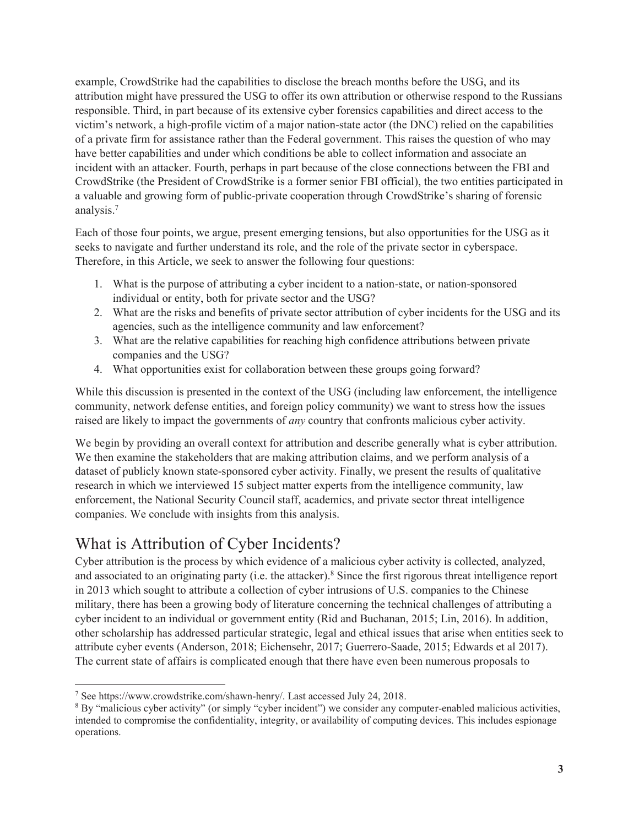example, CrowdStrike had the capabilities to disclose the breach months before the USG, and its attribution might have pressured the USG to offer its own attribution or otherwise respond to the Russians responsible. Third, in part because of its extensive cyber forensics capabilities and direct access to the victim's network, a high-profile victim of a major nation-state actor (the DNC) relied on the capabilities of a private firm for assistance rather than the Federal government. This raises the question of who may have better capabilities and under which conditions be able to collect information and associate an incident with an attacker. Fourth, perhaps in part because of the close connections between the FBI and CrowdStrike (the President of CrowdStrike is a former senior FBI official), the two entities participated in a valuable and growing form of public-private cooperation through CrowdStrike's sharing of forensic analysis.7

Each of those four points, we argue, present emerging tensions, but also opportunities for the USG as it seeks to navigate and further understand its role, and the role of the private sector in cyberspace. Therefore, in this Article, we seek to answer the following four questions:

- 1. What is the purpose of attributing a cyber incident to a nation-state, or nation-sponsored individual or entity, both for private sector and the USG?
- 2. What are the risks and benefits of private sector attribution of cyber incidents for the USG and its agencies, such as the intelligence community and law enforcement?
- 3. What are the relative capabilities for reaching high confidence attributions between private companies and the USG?
- 4. What opportunities exist for collaboration between these groups going forward?

While this discussion is presented in the context of the USG (including law enforcement, the intelligence community, network defense entities, and foreign policy community) we want to stress how the issues raised are likely to impact the governments of *any* country that confronts malicious cyber activity.

We begin by providing an overall context for attribution and describe generally what is cyber attribution. We then examine the stakeholders that are making attribution claims, and we perform analysis of a dataset of publicly known state-sponsored cyber activity. Finally, we present the results of qualitative research in which we interviewed 15 subject matter experts from the intelligence community, law enforcement, the National Security Council staff, academics, and private sector threat intelligence companies. We conclude with insights from this analysis.

## What is Attribution of Cyber Incidents?

Cyber attribution is the process by which evidence of a malicious cyber activity is collected, analyzed, and associated to an originating party (i.e. the attacker).<sup>8</sup> Since the first rigorous threat intelligence report in 2013 which sought to attribute a collection of cyber intrusions of U.S. companies to the Chinese military, there has been a growing body of literature concerning the technical challenges of attributing a cyber incident to an individual or government entity (Rid and Buchanan, 2015; Lin, 2016). In addition, other scholarship has addressed particular strategic, legal and ethical issues that arise when entities seek to attribute cyber events (Anderson, 2018; Eichensehr, 2017; Guerrero-Saade, 2015; Edwards et al 2017). The current state of affairs is complicated enough that there have even been numerous proposals to

 $\overline{a}$ <sup>7</sup> See [https://www.crowdstrike.com/shawn-henry/.](https://www.crowdstrike.com/shawn-henry/) Last accessed July 24, 2018.

<sup>8</sup> By "malicious cyber activity" (or simply "cyber incident") we consider any computer-enabled malicious activities, intended to compromise the confidentiality, integrity, or availability of computing devices. This includes espionage operations.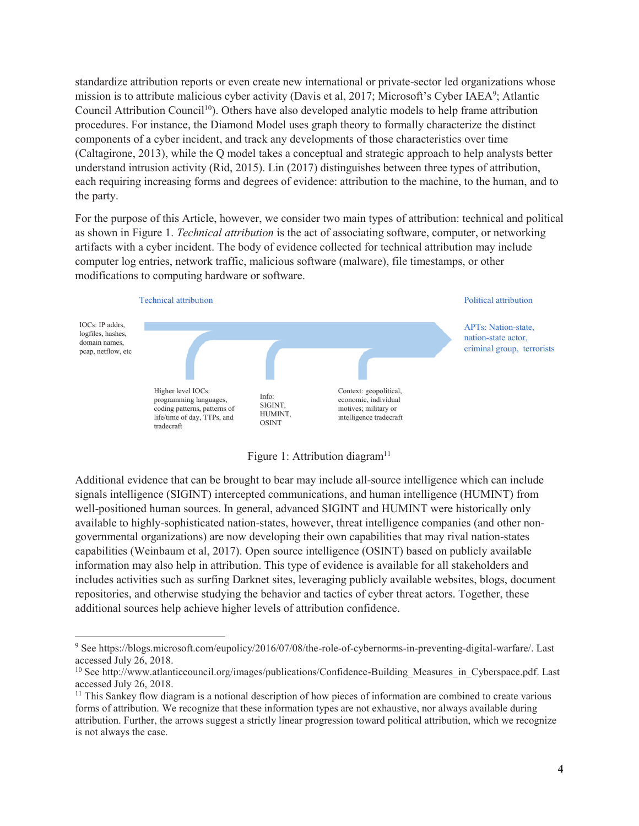standardize attribution reports or even create new international or private-sector led organizations whose mission is to attribute malicious cyber activity (Davis et al, 2017; Microsoft's Cyber IAEA<sup>9</sup>; Atlantic Council Attribution Council<sup>10</sup>). Others have also developed analytic models to help frame attribution procedures. For instance, the Diamond Model uses graph theory to formally characterize the distinct components of a cyber incident, and track any developments of those characteristics over time (Caltagirone, 2013), while the Q model takes a conceptual and strategic approach to help analysts better understand intrusion activity (Rid, 2015). Lin (2017) distinguishes between three types of attribution, each requiring increasing forms and degrees of evidence: attribution to the machine, to the human, and to the party.

For the purpose of this Article, however, we consider two main types of attribution: technical and political as shown in Figure 1. *Technical attribution* is the act of associating software, computer, or networking artifacts with a cyber incident. The body of evidence collected for technical attribution may include computer log entries, network traffic, malicious software (malware), file timestamps, or other modifications to computing hardware or software.





Additional evidence that can be brought to bear may include all-source intelligence which can include signals intelligence (SIGINT) intercepted communications, and human intelligence (HUMINT) from well-positioned human sources. In general, advanced SIGINT and HUMINT were historically only available to highly-sophisticated nation-states, however, threat intelligence companies (and other nongovernmental organizations) are now developing their own capabilities that may rival nation-states capabilities (Weinbaum et al, 2017). Open source intelligence (OSINT) based on publicly available information may also help in attribution. This type of evidence is available for all stakeholders and includes activities such as surfing Darknet sites, leveraging publicly available websites, blogs, document repositories, and otherwise studying the behavior and tactics of cyber threat actors. Together, these additional sources help achieve higher levels of attribution confidence.

<sup>9</sup> See [https://blogs.microsoft.com/eupolicy/2016/07/08/the-role-of-cybernorms-in-preventing-digital-warfare/.](https://blogs.microsoft.com/eupolicy/2016/07/08/the-role-of-cybernorms-in-preventing-digital-warfare/) Last accessed July 26, 2018.

<sup>&</sup>lt;sup>10</sup> See [http://www.atlanticcouncil.org/images/publications/Confidence-Building\\_Measures\\_in\\_Cyberspace.pdf.](http://www.atlanticcouncil.org/images/publications/Confidence-Building_Measures_in_Cyberspace.pdf) Last accessed July 26, 2018.

 $11$  This Sankey flow diagram is a notional description of how pieces of information are combined to create various forms of attribution. We recognize that these information types are not exhaustive, nor always available during attribution. Further, the arrows suggest a strictly linear progression toward political attribution, which we recognize is not always the case.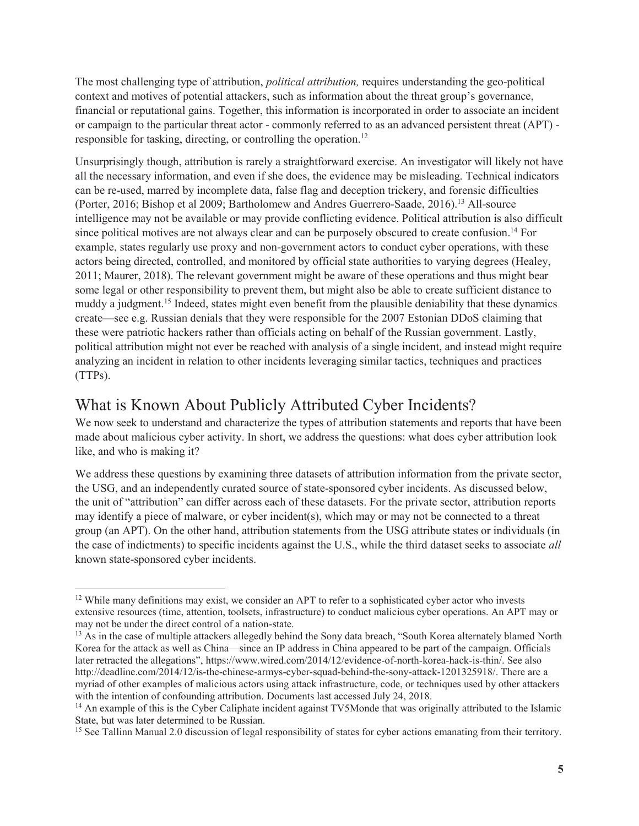The most challenging type of attribution, *political attribution,* requires understanding the geo-political context and motives of potential attackers, such as information about the threat group's governance, financial or reputational gains. Together, this information is incorporated in order to associate an incident or campaign to the particular threat actor - commonly referred to as an advanced persistent threat (APT) responsible for tasking, directing, or controlling the operation.12

Unsurprisingly though, attribution is rarely a straightforward exercise. An investigator will likely not have all the necessary information, and even if she does, the evidence may be misleading. Technical indicators can be re-used, marred by incomplete data, false flag and deception trickery, and forensic difficulties (Porter, 2016; Bishop et al 2009; Bartholomew and Andres Guerrero-Saade, 2016).13 All-source intelligence may not be available or may provide conflicting evidence. Political attribution is also difficult since political motives are not always clear and can be purposely obscured to create confusion.<sup>14</sup> For example, states regularly use proxy and non-government actors to conduct cyber operations, with these actors being directed, controlled, and monitored by official state authorities to varying degrees (Healey, 2011; Maurer, 2018). The relevant government might be aware of these operations and thus might bear some legal or other responsibility to prevent them, but might also be able to create sufficient distance to muddy a judgment.<sup>15</sup> Indeed, states might even benefit from the plausible deniability that these dynamics create—see e.g. Russian denials that they were responsible for the 2007 Estonian DDoS claiming that these were patriotic hackers rather than officials acting on behalf of the Russian government. Lastly, political attribution might not ever be reached with analysis of a single incident, and instead might require analyzing an incident in relation to other incidents leveraging similar tactics, techniques and practices (TTPs).

## What is Known About Publicly Attributed Cyber Incidents?

 $\overline{a}$ 

We now seek to understand and characterize the types of attribution statements and reports that have been made about malicious cyber activity. In short, we address the questions: what does cyber attribution look like, and who is making it?

We address these questions by examining three datasets of attribution information from the private sector, the USG, and an independently curated source of state-sponsored cyber incidents. As discussed below, the unit of "attribution" can differ across each of these datasets. For the private sector, attribution reports may identify a piece of malware, or cyber incident(s), which may or may not be connected to a threat group (an APT). On the other hand, attribution statements from the USG attribute states or individuals (in the case of indictments) to specific incidents against the U.S., while the third dataset seeks to associate *all* known state-sponsored cyber incidents.

<sup>&</sup>lt;sup>12</sup> While many definitions may exist, we consider an APT to refer to a sophisticated cyber actor who invests extensive resources (time, attention, toolsets, infrastructure) to conduct malicious cyber operations. An APT may or may not be under the direct control of a nation-state.

<sup>&</sup>lt;sup>13</sup> As in the case of multiple attackers allegedly behind the Sony data breach, "South Korea alternately blamed North Korea for the attack as well as China—since an IP address in China appeared to be part of the campaign. Officials later retracted the allegations", [https://www.wired.com/2014/12/evidence-of-north-korea-hack-is-thin/.](https://www.wired.com/2014/12/evidence-of-north-korea-hack-is-thin/) See also [http://deadline.com/2014/12/is-the-chinese-armys-cyber-squad-behind-the-sony-attack-1201325918/.](http://deadline.com/2014/12/is-the-chinese-armys-cyber-squad-behind-the-sony-attack-1201325918/) There are a myriad of other examples of malicious actors using attack infrastructure, code, or techniques used by other attackers with the intention of confounding attribution. Documents last accessed July 24, 2018.<br><sup>14</sup> An example of this is the Cyber Caliphate incident against TV5Monde that was originally attributed to the Islamic

State, but was later determined to be Russian.

<sup>&</sup>lt;sup>15</sup> See Tallinn Manual 2.0 discussion of legal responsibility of states for cyber actions emanating from their territory.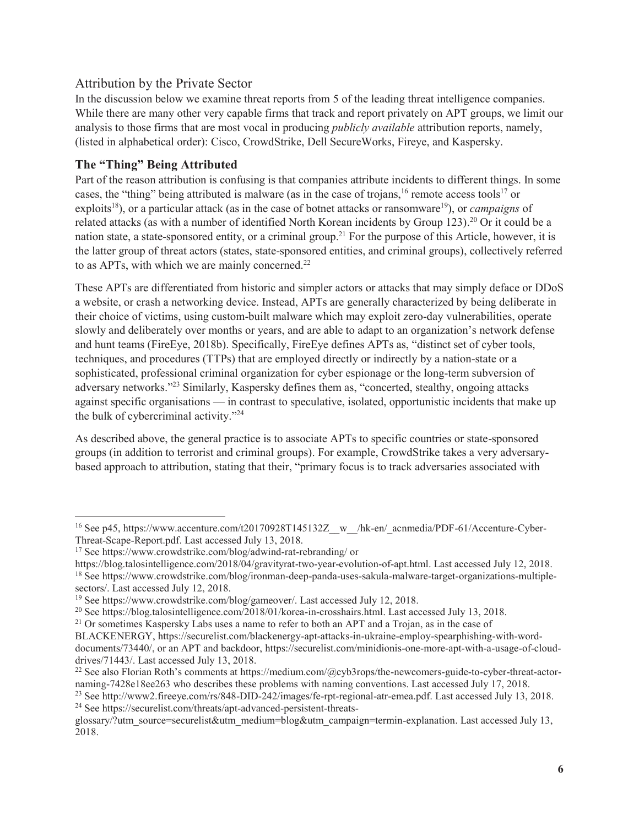#### Attribution by the Private Sector

In the discussion below we examine threat reports from 5 of the leading threat intelligence companies. While there are many other very capable firms that track and report privately on APT groups, we limit our analysis to those firms that are most vocal in producing *publicly available* attribution reports, namely, (listed in alphabetical order): Cisco, CrowdStrike, Dell SecureWorks, Fireye, and Kaspersky.

#### **The "Thing" Being Attributed**

Part of the reason attribution is confusing is that companies attribute incidents to different things. In some cases, the "thing" being attributed is malware (as in the case of trojans,  $^{16}$  remote access tools<sup>17</sup> or exploits<sup>18</sup>), or a particular attack (as in the case of botnet attacks or ransomware<sup>19</sup>), or *campaigns* of related attacks (as with a number of identified North Korean incidents by Group 123).20 Or it could be a nation state, a state-sponsored entity, or a criminal group.<sup>21</sup> For the purpose of this Article, however, it is the latter group of threat actors (states, state-sponsored entities, and criminal groups), collectively referred to as APTs, with which we are mainly concerned.<sup>22</sup>

These APTs are differentiated from historic and simpler actors or attacks that may simply deface or DDoS a website, or crash a networking device. Instead, APTs are generally characterized by being deliberate in their choice of victims, using custom-built malware which may exploit zero-day vulnerabilities, operate slowly and deliberately over months or years, and are able to adapt to an organization's network defense and hunt teams (FireEye, 2018b). Specifically, FireEye defines APTs as, "distinct set of cyber tools, techniques, and procedures (TTPs) that are employed directly or indirectly by a nation-state or a sophisticated, professional criminal organization for cyber espionage or the long-term subversion of adversary networks."23 Similarly, Kaspersky defines them as, "concerted, stealthy, ongoing attacks against specific organisations — in contrast to speculative, isolated, opportunistic incidents that make up the bulk of cybercriminal activity."24

As described above, the general practice is to associate APTs to specific countries or state-sponsored groups (in addition to terrorist and criminal groups). For example, CrowdStrike takes a very adversarybased approach to attribution, stating that their, "primary focus is to track adversaries associated with

<sup>&</sup>lt;sup>16</sup> See p45, https://www.accenture.com/t20170928T145132Z\_w\_\_/hk-en/\_acnmedia/PDF-61/Accenture-Cyber-Threat-Scape-Report.pdf. Last accessed July 13, 2018.

<sup>17</sup> See <https://www.crowdstrike.com/blog/adwind-rat-rebranding/>or

[https://blog.talosintelligence.com/2018/04/gravityrat-two-year-evolution-of-apt.html.](https://blog.talosintelligence.com/2018/04/gravityrat-two-year-evolution-of-apt.html) Last accessed July 12, 2018.

[<sup>18</sup> See https://www.crowdstrike.com/blog/ironman-deep-panda-uses-sakula-malware-target-organizations-multiple](https://www.crowdstrike.com/blog/ironman-deep-panda-uses-sakula-malware-target-organizations-multiple-sectors)sectors/. Last accessed July 12, 2018.

<sup>&</sup>lt;sup>19</sup> See [https://www.crowdstrike.com/blog/gameover/.](https://www.crowdstrike.com/blog/gameover/) Last accessed July 12, 2018.

<sup>20</sup> See [https://blog.talosintelligence.com/2018/01/korea-in-crosshairs.html.](https://blog.talosintelligence.com/2018/01/korea-in-crosshairs.html) Last accessed July 13, 2018.

<sup>&</sup>lt;sup>21</sup> Or sometimes Kaspersky Labs uses a name to refer to both an APT and a Trojan, as in the case of

BLACKENERGY, [https://securelist.com/blackenergy-apt-attacks-in-ukraine-employ-spearphishing-with-word](https://securelist.com/blackenergy-apt-attacks-in-ukraine-employ-spearphishing-with-word-documents/73440/)documents/73440/, or an APT and backdoor, [https://securelist.com/minidionis-one-more-apt-with-a-usage-of-cloud](https://securelist.com/minidionis-one-more-apt-with-a-usage-of-cloud-drives/71443/)drives/71443/. Last accessed July 13, 2018.

<sup>&</sup>lt;sup>22</sup> See also Florian Roth's comments at https://medium.com/@cyb3rops/the-newcomers-guide-to-cyber-threat-actor-

naming-7428e18ee263 who describes these problems with naming conventions. Last accessed July 17, 2018.<br><sup>23</sup> See [http://www2.fireeye.com/rs/848-DID-242/images/fe-rpt-regional-atr-emea.pdf.](http://www2.fireeye.com/rs/848-DID-242/images/fe-rpt-regional-atr-emea.pdf) Last accessed July 13, 2018.<br><sup>24</sup>

glossary/?utm\_source=securelist&utm\_medium=blog&utm\_campaign=termin-explanation. Last accessed July 13, 2018.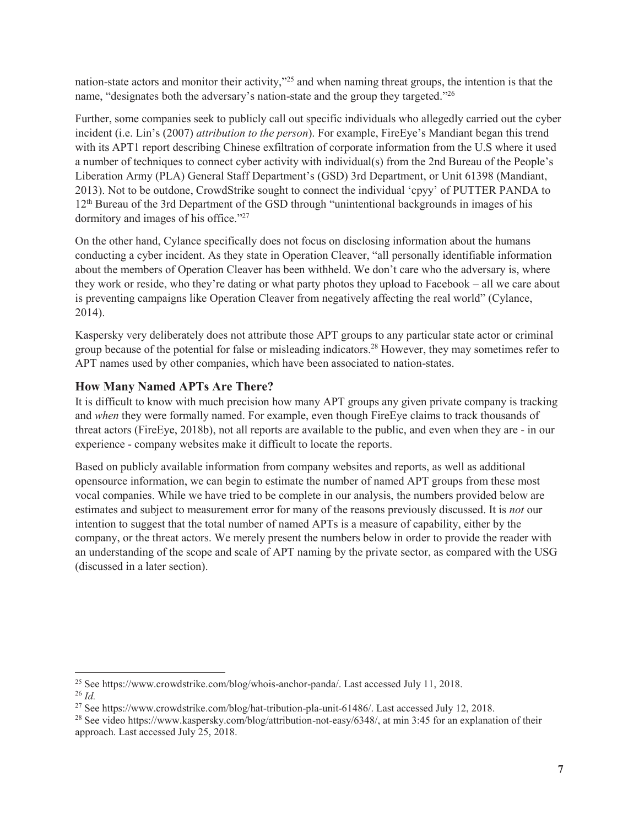nation-state actors and monitor their activity,"25 and when naming threat groups, the intention is that the name, "designates both the adversary's nation-state and the group they targeted."26

Further, some companies seek to publicly call out specific individuals who allegedly carried out the cyber incident (i.e. Lin's (2007) *attribution to the person*). For example, FireEye's Mandiant began this trend with its APT1 report describing Chinese exfiltration of corporate information from the U.S where it used a number of techniques to connect cyber activity with individual(s) from the 2nd Bureau of the People's Liberation Army (PLA) General Staff Department's (GSD) 3rd Department, or Unit 61398 (Mandiant, 2013). Not to be outdone, CrowdStrike sought to connect the individual 'cpyy' of PUTTER PANDA to 12th Bureau of the 3rd Department of the GSD through "unintentional backgrounds in images of his dormitory and images of his office."27

On the other hand, Cylance specifically does not focus on disclosing information about the humans conducting a cyber incident. As they state in Operation Cleaver, "all personally identifiable information about the members of Operation Cleaver has been withheld. We don't care who the adversary is, where they work or reside, who they're dating or what party photos they upload to Facebook – all we care about is preventing campaigns like Operation Cleaver from negatively affecting the real world" (Cylance, 2014).

Kaspersky very deliberately does not attribute those APT groups to any particular state actor or criminal group because of the potential for false or misleading indicators.28 However, they may sometimes refer to APT names used by other companies, which have been associated to nation-states.

#### **How Many Named APTs Are There?**

It is difficult to know with much precision how many APT groups any given private company is tracking and *when* they were formally named. For example, even though FireEye claims to track thousands of threat actors (FireEye, 2018b), not all reports are available to the public, and even when they are - in our experience - company websites make it difficult to locate the reports.

Based on publicly available information from company websites and reports, as well as additional opensource information, we can begin to estimate the number of named APT groups from these most vocal companies. While we have tried to be complete in our analysis, the numbers provided below are estimates and subject to measurement error for many of the reasons previously discussed. It is *not* our intention to suggest that the total number of named APTs is a measure of capability, either by the company, or the threat actors. We merely present the numbers below in order to provide the reader with an understanding of the scope and scale of APT naming by the private sector, as compared with the USG (discussed in a later section).

<sup>25</sup> See [https://www.crowdstrike.com/blog/whois-anchor-panda/.](https://www.crowdstrike.com/blog/whois-anchor-panda/) Last accessed July 11, 2018.

<sup>26</sup> *Id.*

<sup>27</sup> See [https://www.crowdstrike.com/blog/hat-tribution-pla-unit-61486/.](https://www.crowdstrike.com/blog/hat-tribution-pla-unit-61486/) Last accessed July 12, 2018.

<sup>28</sup> See video [https://www.kaspersky.com/blog/attribution-not-easy/6348/,](https://www.kaspersky.com/blog/attribution-not-easy/6348/) at min 3:45 for an explanation of their approach. Last accessed July 25, 2018.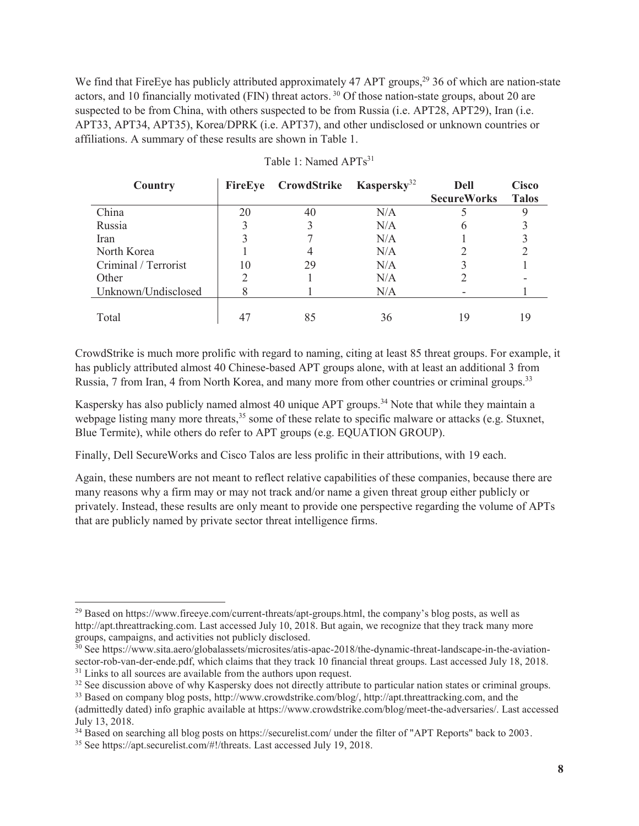We find that FireEye has publicly attributed approximately 47 APT groups,<sup>29</sup> 36 of which are nation-state actors, and 10 financially motivated (FIN) threat actors.<sup>30</sup> Of those nation-state groups, about 20 are suspected to be from China, with others suspected to be from Russia (i.e. APT28, APT29), Iran (i.e. APT33, APT34, APT35), Korea/DPRK (i.e. APT37), and other undisclosed or unknown countries or affiliations. A summary of these results are shown in Table 1.

| Country              | FireEye | CrowdStrike Kaspersky <sup>32</sup> |     | Dell               | <b>Cisco</b> |
|----------------------|---------|-------------------------------------|-----|--------------------|--------------|
|                      |         |                                     |     | <b>SecureWorks</b> | <b>Talos</b> |
| China                | 20      | 40                                  | N/A |                    |              |
| Russia               |         |                                     | N/A | h                  |              |
| Iran                 |         |                                     | N/A |                    |              |
| North Korea          |         |                                     | N/A |                    |              |
| Criminal / Terrorist | 10      | 29                                  | N/A |                    |              |
| Other                |         |                                     | N/A |                    |              |
| Unknown/Undisclosed  |         |                                     | N/A |                    |              |
|                      |         |                                     |     |                    |              |
| Total                | 47      | 85                                  | 36  | Q                  | 19           |

#### Table 1: Named APTs<sup>31</sup>

CrowdStrike is much more prolific with regard to naming, citing at least 85 threat groups. For example, it has publicly attributed almost 40 Chinese-based APT groups alone, with at least an additional 3 from Russia, 7 from Iran, 4 from North Korea, and many more from other countries or criminal groups.33

Kaspersky has also publicly named almost 40 unique APT groups.<sup>34</sup> Note that while they maintain a webpage listing many more threats,<sup>35</sup> some of these relate to specific malware or attacks (e.g. Stuxnet, Blue Termite), while others do refer to APT groups (e.g. EQUATION GROUP).

Finally, Dell SecureWorks and Cisco Talos are less prolific in their attributions, with 19 each.

Again, these numbers are not meant to reflect relative capabilities of these companies, because there are many reasons why a firm may or may not track and/or name a given threat group either publicly or privately. Instead, these results are only meant to provide one perspective regarding the volume of APTs that are publicly named by private sector threat intelligence firms.

<sup>29</sup> Based on<https://www.fireeye.com/current-threats/apt-groups.html>, the company's blog posts, as well as [http://apt.threattracking.com.](http://apt.threattracking.com) Last accessed July 10, 2018. But again, we recognize that they track many more groups, campaigns, and activities not publicly disclosed.

 $30$  See https://www.sita.aero/globalassets/microsites/atis-apac-2018/the-dynamic-threat-landscape-in-the-aviationsector-rob-van-der-ende.pdf, which claims that they track 10 financial threat groups. Last accessed July 18, 2018.

<sup>&</sup>lt;sup>31</sup> Links to all sources are available from the authors upon request.<br><sup>32</sup> See discussion above of why [Kaspersky does not directly attribute t](http://www.crowdstrike.com/blog/)[o particular nation states or c](http://apt.threattracking.com)riminal groups.<br><sup>33</sup> Based on company blog post

<sup>(</sup>admittedly dated) info graphic available at [https://www.crowdstrike.com/blog/meet-the-adversaries/.](https://www.crowdstrike.com/blog/meet-the-adversaries/) Last accessed July 13, 2018.

 $34$  Bas[ed on searching all blog posts on](https://apt.securelist.com/#!/threats)<https://securelist.com/>under the filter of "APT Reports" back to 2003.<br><sup>35</sup> See [https://apt.securelist.com/#!/threats.](https://apt.securelist.com/#!/threats) Last accessed July 19, 2018.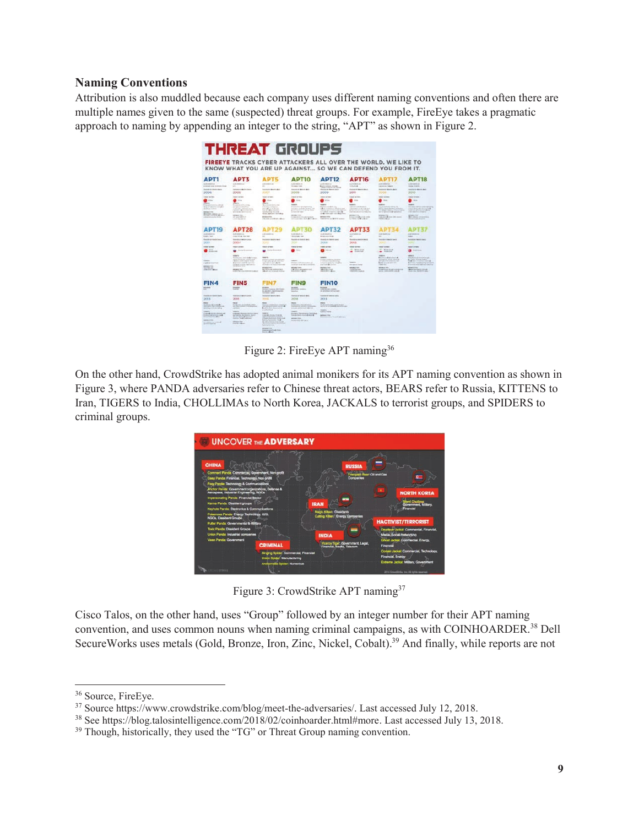#### **Naming Conventions**

Attribution is also muddled because each company uses different naming conventions and often there are multiple names given to the same (suspected) threat groups. For example, FireEye takes a pragmatic approach to naming by appending an integer to the string, "APT" as shown in Figure 2.

| APT3<br>And instructor<br>-<br><b>Dealership and Marchan Aberta</b>                                                                                                                                   | <b>APT5</b><br>continued and<br>÷<br><b>Manufacturer of the American Advertising</b>                                                                                                    | APT <sub>10</sub><br>to the resident and<br><b>PERMIT TON</b><br>discussed by determining and                                                                                                                                   | APT <sub>12</sub><br>and extent<br>Bank retrodi  Desirek<br>Hardwick & Automotive Andrews<br>description of the control descrip-                                                                                         | <b>APT16</b><br>multi-light such<br><b>SEALAND</b><br>distances of changes to detect                                                                                          | <b>APT17</b><br>and extended in<br>inguising lobace<br><b>Manufacturer (Manufacture Abellia)</b>                                                                                          | APT <sub>18</sub><br>to in contract of<br><b>WANT STATE</b><br><b><i>Stationard March Mall</i></b>                                                      |
|-------------------------------------------------------------------------------------------------------------------------------------------------------------------------------------------------------|-----------------------------------------------------------------------------------------------------------------------------------------------------------------------------------------|---------------------------------------------------------------------------------------------------------------------------------------------------------------------------------------------------------------------------------|--------------------------------------------------------------------------------------------------------------------------------------------------------------------------------------------------------------------------|-------------------------------------------------------------------------------------------------------------------------------------------------------------------------------|-------------------------------------------------------------------------------------------------------------------------------------------------------------------------------------------|---------------------------------------------------------------------------------------------------------------------------------------------------------|
| <b>General Armstra</b><br>. .<br><b>Gentlem</b>                                                                                                                                                       | <b>CONTRACTOR</b><br>$\bullet$<br><b>SERVICE</b>                                                                                                                                        | <b>CALL AT THE</b><br>$\bullet$<br>ments                                                                                                                                                                                        | more arrange<br>$\bullet$ inter-<br><b>MARKET</b>                                                                                                                                                                        | Colorado de Valencia<br>. .<br><b>SALES</b>                                                                                                                                   | <b>GALLASTER</b><br>$\bullet$ $\cdots$<br>since.                                                                                                                                          | 2010<br>mean sense.<br>$\bullet$<br><b>STARTS</b>                                                                                                       |
| accuración de Marchan<br>to all achieves in an analysis<br>Instruct to Automation State<br>Advised and American<br><b>WORKTON</b><br>art wa bably of<br>and a shareholder that                        | Entitled at The photos<br>personal de la facilitat de<br>ers a policitation<br>restrictions in a set<br>that restaura terradas<br><b>MORALDON</b><br>1700-2203 or 41-85-233, California | School and court structures<br>policies and billion who, but<br>acceleration threat for their<br><b>Council Harry</b><br>mende at robot.<br>In a rate to a site discussed that have<br>particularly the control of the state of | <b>Participants and Party</b><br>Alle consists believe and<br>metric processing and counter<br>and to do an introduction work with<br>and a partition which gives<br><b>MODELS</b> TOOL<br>Internet in our Waters makers | contrast six to provide<br>contraction is the bag shall.<br>at continues belongs from<br>and The continued shake their<br><b>BEIGLITEE</b><br><b>Editor conduction cannot</b> | <b>USLindaked MP4.NL</b><br>dell'in vita en devien 24 desime<br>beliefing brigains believ allows:<br>and the product in the first state of<br>latests rite.<br>THE ALL BOYS (20 years)    | <b>Distant &amp; Amtiviana Indianalist</b><br>potenting one shall relate.<br>Seattle paid spherits with about<br><b>HERZYON</b><br><b>BY ARIA GRAPH</b> |
| <b>APT28</b><br>Ackiness.c.                                                                                                                                                                           | APT <sub>29</sub><br><b>GAS MARINE</b><br>$-$                                                                                                                                           | <b>APT30</b><br><b>Building Bradford Ave.</b>                                                                                                                                                                                   | <b>APT32</b><br>Auto International                                                                                                                                                                                       | <b>APT33</b><br>model behind a sub-<br><b>SOLU</b>                                                                                                                            | APT34<br>Automatical Avenue<br>$-$                                                                                                                                                        | APT37<br>And indexes of<br>training and                                                                                                                 |
| <b>Supply of Miller State</b><br>DOO7                                                                                                                                                                 | <b>Horizon A Walter And</b><br><b>SOU</b>                                                                                                                                               | <b>Social Automatic Book</b><br>zoto                                                                                                                                                                                            | <b><i><u>Registration</u></i></b><br>2014                                                                                                                                                                                | Sociological meeting shorts<br>2011                                                                                                                                           | Suite of Activities<br><b>SOM</b>                                                                                                                                                         | <b>Sunday of Motor Service</b><br>2055                                                                                                                  |
| <b>TOROL AVENU</b><br><b>Market</b>                                                                                                                                                                   | <b><i>INSURANCE</i></b><br>and State-Sounderly                                                                                                                                          | <b>Similar services</b><br>$\bullet$                                                                                                                                                                                            | <b>HARABIA</b><br>8 -                                                                                                                                                                                                    | time area.<br><b>Mr. Andrews</b><br>and construction                                                                                                                          | <b>TREST ATTNS</b><br><b>Mr. Basebook</b><br>and controlled                                                                                                                               | <b><i><u>SALE ATTEN</u></i></b><br>O Herrin                                                                                                             |
| <b>MARKET</b><br>No Churston, and Index Systems<br>has been a substract<br>Bosto area tracer busin<br>Parson HPR-62-EX<br>and the property of the<br><b>MORE TRI</b><br>LOST CALL AN ISSUE AND LODGED | <b>SERVICE</b><br>Monthal Guilayer abusines<br>trop and plat years.<br>the chairs in the control with<br><b>NATIONAL PIPE</b><br>BCRDI parametrisci                                     | <b>SALES</b><br>Wardland (Milliam Moon of the Afr<br>and an anti-state and and an<br><b>CRUSH COMPANY</b>                                                                                                                       | <b>HARM</b><br>Total Galaxie Analys<br>change graces madra<br>MOVED OF                                                                                                                                                   | <b>Separate</b><br><b>Detroited Entran</b><br><b>MORATON</b><br><b>CONTRACTOR</b>                                                                                             | <b>MARINE</b><br><b>BANNON BANKING</b><br>processing terms down-\$<br>and a dealer construction and<br>Brandy Automatic Assessment<br>⊞ದ<br><b>MORN TES</b><br><b>Engineer mode store</b> | <b>CARDIO</b><br><b>State Street Section</b><br><b>B</b> chairs happened a single<br>allowed as a battle and calculate<br><b>CARLES AND ANGELES</b>     |
| <b>FIN5</b><br><b>MARINE</b><br><b>COL</b>                                                                                                                                                            | <b>FIN7</b><br><b>Nickelay</b>                                                                                                                                                          | FIN9<br><b>SECRETARY</b><br>purchasi pulation                                                                                                                                                                                   | <b>FIN10</b><br><b>Accounting</b><br><b><i>A BAT MONEY LANGER</i></b>                                                                                                                                                    |                                                                                                                                                                               |                                                                                                                                                                                           |                                                                                                                                                         |
| <b><i>Photograph</i></b> Allenton States                                                                                                                                                              | <b>Dealers and Service Andre</b>                                                                                                                                                        | <b>Harrist al Wilson Britis</b>                                                                                                                                                                                                 | Substitute and interests powers.                                                                                                                                                                                         |                                                                                                                                                                               |                                                                                                                                                                                           |                                                                                                                                                         |
| <b>TATION</b><br>Today and Asiatakak Kindy<br>and cheer simulate to dealers must<br><b>CARD MADE</b>                                                                                                  | <b>TRIAL</b><br>Division Arbitration & Add-Link<br>per lets and actions since 1-4                                                                                                       | <b>TANKS</b><br><b>Exhibition Program</b> Indiana<br>habitants in substitute to provide the<br>designed a state country state and                                                                                               | men.<br>Toda admitted betty approximated in                                                                                                                                                                              |                                                                                                                                                                               |                                                                                                                                                                                           |                                                                                                                                                         |
| <b>Service</b><br>makers, boom control tiers.<br><b>REGISTER</b><br><b>Manager State</b><br>Text \$1.100.00                                                                                           | <b>CAMILING FORES</b><br><b>SEARCH CONTROL</b><br><b>The Science Red</b><br>the product for the product<br><b>Coloradores</b>                                                           | <b>Search</b><br><b>Alumni Recorreng Services</b><br>householders and all starting<br>personal at three-<br>technology days and an                                                                                              | Special Fields<br>sensicitis<br>hats in home as thought all is put                                                                                                                                                       |                                                                                                                                                                               |                                                                                                                                                                                           |                                                                                                                                                         |
|                                                                                                                                                                                                       | 2005<br>Education & Processing<br><b>CONTROL RATION</b><br>2011                                                                                                                         | <b>SOUT</b><br><b>Silver Auto Annibodies, 40 db</b><br><b>Editor: on a leman motive</b><br>Laire militaire<br><b>DOM:</b><br><b>Excels the monoton</b>                                                                          | 2009<br><b>STATISTIC</b> THE<br><b><i><u>SALESSER</u></i></b><br>2014                                                                                                                                                    | <b>THREAT GROUPS</b><br>2009<br><b>Brighters</b> Google<br>All Artistines detroitings<br>2013<br><b>Service</b>                                                               | <b>TOTE</b><br>article to achieve through the state                                                                                                                                       | FIREEYE TRACKS CYBER ATTACKERS ALL OVER THE WORLD. WE LIKE TO<br>KNOW WHAT YOU ARE UP AGAINST SO WE CAN DEFEND YOU FROM IT.<br><b>DOOK</b>              |

Figure 2: FireEye APT naming<sup>36</sup>

On the other hand, CrowdStrike has adopted animal monikers for its APT naming convention as shown in Figure 3, where PANDA adversaries refer to Chinese threat actors, BEARS refer to Russia, KITTENS to Iran, TIGERS to India, CHOLLIMAs to North Korea, JACKALS to terrorist groups, and SPIDERS to criminal groups.



Figure 3: CrowdStrike APT naming<sup>37</sup>

Cisco Talos, on the other hand, uses "Group" followed by an integer number for their APT naming convention, and uses common nouns when naming criminal campaigns, as with COINHOARDER.<sup>38</sup> Dell SecureWorks uses metals (Gold, Bronze, Iron, Zinc, Nickel, Cobalt).<sup>39</sup> And finally, while reports are not

<sup>&</sup>lt;sup>36</sup> Source, FireEye.<br><sup>37</sup> Source https://www.crowdstrike.com/blog/meet-the-adversaries/. Last accessed July 12, 2018.

<sup>&</sup>lt;sup>38</sup> See https://blog.talosintelligence.com/2018/02/coinhoarder.html#more. [Last a](https://blog.talosintelligence.com/2018/02/coinhoarder.html#more)ccessed July 13, 2018.<br><sup>39</sup> Though, historically, they used the "TG" or Threat Group naming convention.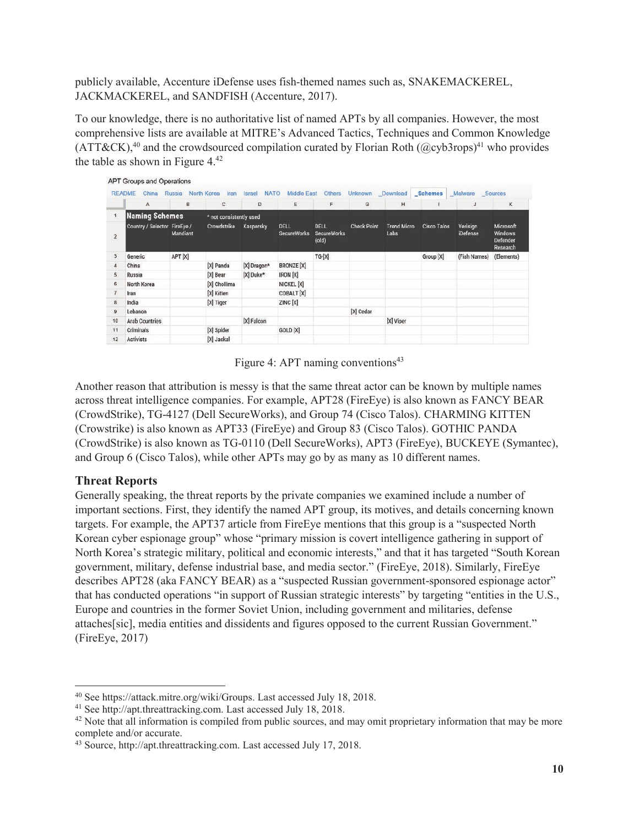publicly available, Accenture iDefense uses fish-themed names such as, SNAKEMACKEREL, JACKMACKEREL, and SANDFISH (Accenture, 2017).

To our knowledge, there is no authoritative list of named APTs by all companies. However, the most comprehensive lists are available at MITRE's Advanced Tactics, Techniques and Common Knowledge  $(ATT\&CK)$ ,<sup>40</sup> and the crowdsourced compilation curated by Florian Roth  $(Qcvb3rops)^{41}$  who provides the table as shown in Figure 4.42

|                         | <b>APT Groups and Operations</b> |               |                            |                              |                                   |                                     |                    |                            |             |                      |                                              |
|-------------------------|----------------------------------|---------------|----------------------------|------------------------------|-----------------------------------|-------------------------------------|--------------------|----------------------------|-------------|----------------------|----------------------------------------------|
|                         | <b>README</b><br>China           | <b>Russia</b> | North Korea<br><b>Iran</b> | <b>NATO</b><br><b>Israel</b> | Middle East                       | <b>Others</b>                       | Unknown            | Download                   | _Schemes    | Malware Sources      |                                              |
|                         | Ä                                | B             | C.                         | D.                           | E                                 | F                                   | G                  | H                          |             | J.                   | ĸ                                            |
| $\mathbf{1}$            | <b>Naming Schemes</b>            |               | * not consistently used    |                              |                                   |                                     |                    |                            |             |                      |                                              |
| $\overline{2}$          | Country / Selector FireEye /     | Mandiant      | Crowdstrike                | Kaspersky                    | <b>DELL</b><br><b>SecureWorks</b> | DELL<br><b>SecureWorks</b><br>(old) | <b>Check Point</b> | <b>Trend Micro</b><br>Labs | Cisco Talos | Verisian<br>iDefense | Microsoft<br>Windows<br>Defender<br>Research |
| $\overline{\mathbf{3}}$ | Generic                          | APT [X]       |                            |                              |                                   | $TG-[X]$                            |                    |                            | Group [X]   | (Fish Names)         | (Elements)                                   |
| $\overline{4}$          | China                            |               | [X] Panda                  | [X] Dragon*                  | <b>BRONZE</b> [X]                 |                                     |                    |                            |             |                      |                                              |
| 5.                      | Russia                           |               | [X] Bear                   | [X] Duke*                    | <b>IRON</b> [X]                   |                                     |                    |                            |             |                      |                                              |
| 6                       | North Korea                      |               | [X] Chollima               |                              | NICKEL [X]                        |                                     |                    |                            |             |                      |                                              |
|                         | Iran                             |               | [X] Kitten                 |                              | COBALT [X]                        |                                     |                    |                            |             |                      |                                              |
| 8                       | India                            |               | [X] Tiger                  |                              | ZINC [X]                          |                                     |                    |                            |             |                      |                                              |
| 9                       | Lebanon                          |               |                            |                              |                                   |                                     | [X] Cedar          |                            |             |                      |                                              |
| 10                      | <b>Arab Countries</b>            |               |                            | [X] Falcon                   |                                   |                                     |                    | [X] Viper                  |             |                      |                                              |
| 11                      | Criminals                        |               | [X] Spider                 |                              | GOLD [X]                          |                                     |                    |                            |             |                      |                                              |
| 12                      | Activists                        |               | [X] Jackal                 |                              |                                   |                                     |                    |                            |             |                      |                                              |

Figure 4: APT naming conventions<sup>43</sup>

Another reason that attribution is messy is that the same threat actor can be known by multiple names across threat intelligence companies. For example, APT28 (FireEye) is also known as FANCY BEAR (CrowdStrike), TG-4127 (Dell SecureWorks), and Group 74 (Cisco Talos). CHARMING KITTEN (Crowstrike) is also known as APT33 (FireEye) and Group 83 (Cisco Talos). GOTHIC PANDA (CrowdStrike) is also known as TG-0110 (Dell SecureWorks), APT3 (FireEye), BUCKEYE (Symantec), and Group 6 (Cisco Talos), while other APTs may go by as many as 10 different names.

#### **Threat Reports**

 $\overline{a}$ 

Generally speaking, the threat reports by the private companies we examined include a number of important sections. First, they identify the named APT group, its motives, and details concerning known targets. For example, the APT37 article from FireEye mentions that this group is a "suspected North Korean cyber espionage group" whose "primary mission is covert intelligence gathering in support of North Korea's strategic military, political and economic interests," and that it has targeted "South Korean government, military, defense industrial base, and media sector." (FireEye, 2018). Similarly, FireEye describes APT28 (aka FANCY BEAR) as a "suspected Russian government-sponsored espionage actor" that has conducted operations "in support of Russian strategic interests" by targeting "entities in the U.S., Europe and countries in the former Soviet Union, including government and militaries, defense attaches[sic], media entities and dissidents and figures opposed to the current Russian Government." (FireEye, 2017)

<sup>40</sup> See [https://attack.mitre.org/wiki/Groups.](https://attack.mitre.org/wiki/Groups) Last accessed July 18, 2018.

<sup>41</sup> See [http://apt.threattracking.com.](http://apt.threattracking.com) Last accessed July 18, 2018.

<sup>&</sup>lt;sup>42</sup> Note that all information is compiled from public sources, and may omit proprietary information that may be more complete and/or accurate.

<sup>43</sup> Source, [http://apt.threattracking.com.](http://apt.threattracking.com) Last accessed July 17, 2018.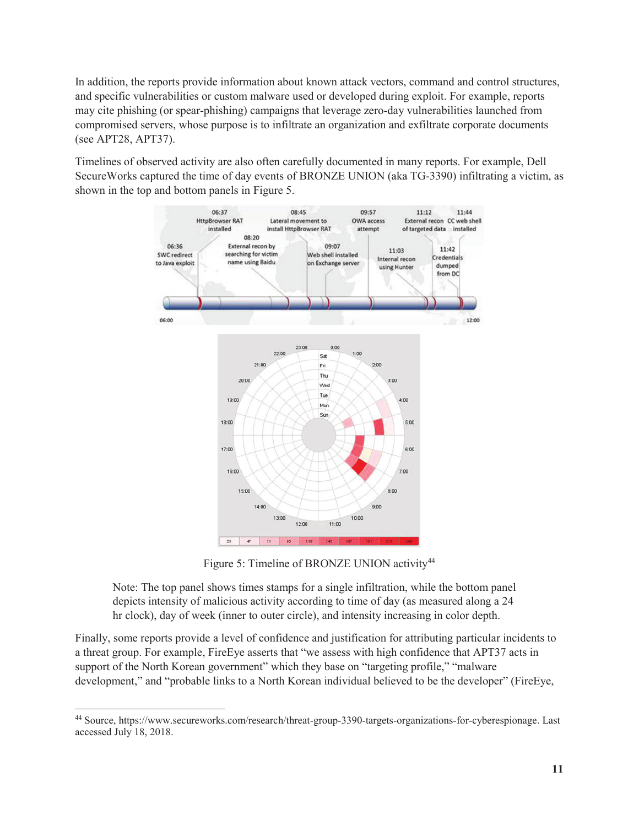In addition, the reports provide information about known attack vectors, command and control structures, and specific vulnerabilities or custom malware used or developed during exploit. For example, reports may cite phishing (or spear-phishing) campaigns that leverage zero-day vulnerabilities launched from compromised servers, whose purpose is to infiltrate an organization and exfiltrate corporate documents (see APT28, APT37).

Timelines of observed activity are also often carefully documented in many reports. For example, Dell SecureWorks captured the time of day events of BRONZE UNION (aka TG-3390) infiltrating a victim, as shown in the top and bottom panels in Figure 5.



Figure 5: Timeline of BRONZE UNION activity<sup>44</sup>

Note: The top panel shows times stamps for a single infiltration, while the bottom panel depicts intensity of malicious activity according to time of day (as measured along a 24 hr clock), day of week (inner to outer circle), and intensity increasing in color depth.

Finally, some reports provide a level of confidence and justification for attributing particular incidents to a threat group. For example, FireEye asserts that "we assess with high confidence that APT37 acts in support of the North Korean government" which they base on "targeting profile," "malware development," and "probable links to a North Korean individual believed to be the developer" (FireEye,

<sup>44</sup> Source, [https://www.secureworks.com/research/threat-group-3390-targets-organizations-for-cyberespionage.](https://www.secureworks.com/research/threat-group-3390-targets-organizations-for-cyberespionage) Last accessed July 18, 2018.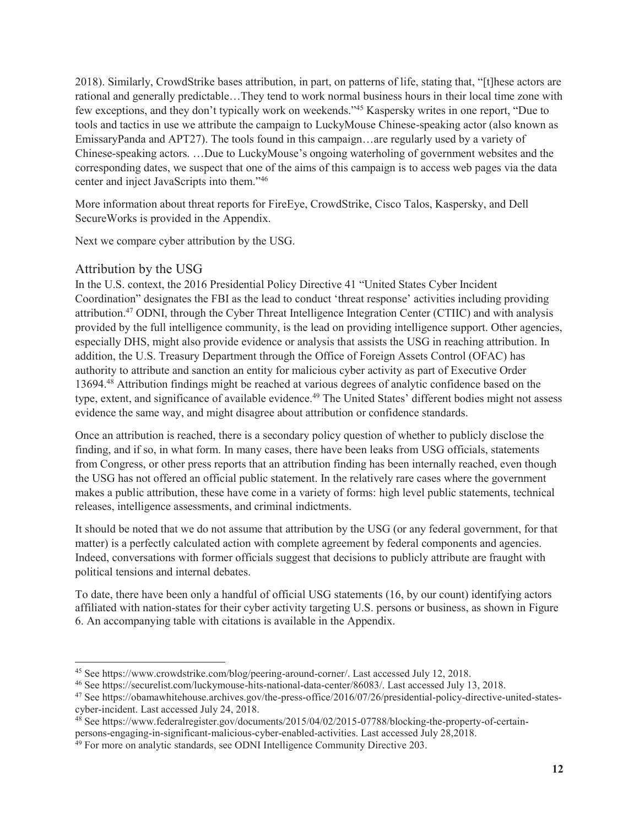2018). Similarly, CrowdStrike bases attribution, in part, on patterns of life, stating that, "[t]hese actors are rational and generally predictable…They tend to work normal business hours in their local time zone with few exceptions, and they don't typically work on weekends."<sup>45</sup> Kaspersky writes in one report, "Due to tools and tactics in use we attribute the campaign to LuckyMouse Chinese-speaking actor (also known as EmissaryPanda and APT27). The tools found in this campaign…are regularly used by a variety of Chinese-speaking actors. …Due to LuckyMouse's ongoing waterholing of government websites and the corresponding dates, we suspect that one of the aims of this campaign is to access web pages via the data center and inject JavaScripts into them."<sup>46</sup>

More information about threat reports for FireEye, CrowdStrike, Cisco Talos, Kaspersky, and Dell SecureWorks is provided in the Appendix.

Next we compare cyber attribution by the USG.

#### Attribution by the USG

 $\overline{a}$ 

In the U.S. context, the 2016 Presidential Policy Directive 41 "United States Cyber Incident Coordination" designates the FBI as the lead to conduct 'threat response' activities including providing attribution.47 ODNI, through the Cyber Threat Intelligence Integration Center (CTIIC) and with analysis provided by the full intelligence community, is the lead on providing intelligence support. Other agencies, especially DHS, might also provide evidence or analysis that assists the USG in reaching attribution. In addition, the U.S. Treasury Department through the Office of Foreign Assets Control (OFAC) has authority to attribute and sanction an entity for malicious cyber activity as part of Executive Order 13694.48 Attribution findings might be reached at various degrees of analytic confidence based on the type, extent, and significance of available evidence.<sup>49</sup> The United States' different bodies might not assess evidence the same way, and might disagree about attribution or confidence standards.

Once an attribution is reached, there is a secondary policy question of whether to publicly disclose the finding, and if so, in what form. In many cases, there have been leaks from USG officials, statements from Congress, or other press reports that an attribution finding has been internally reached, even though the USG has not offered an official public statement. In the relatively rare cases where the government makes a public attribution, these have come in a variety of forms: high level public statements, technical releases, intelligence assessments, and criminal indictments.

It should be noted that we do not assume that attribution by the USG (or any federal government, for that matter) is a perfectly calculated action with complete agreement by federal components and agencies. Indeed, conversations with former officials suggest that decisions to publicly attribute are fraught with political tensions and internal debates.

To date, there have been only a handful of official USG statements (16, by our count) identifying actors affiliated with nation-states for their cyber activity targeting U.S. persons or business, as shown in Figure 6. An accompanying table with citations is available in the Appendix.

<sup>45</sup> See <https://www.crowdstrike.com/blog/peering-around-corner/>. Last accessed July 12, 2018.

<sup>46</sup> See [https://securelist.com/luckymouse-hits-national-data-center/86083/.](https://securelist.com/luckymouse-hits-national-data-center/86083/) Last accessed July 13, 2018.

[<sup>47</sup> See https://obamawhitehouse.archives.gov/the-press-office/2016/07/26/presidential-policy-directive-united-states](https://obamawhitehouse.archives.gov/the-press-office/2016/07/26/presidential-policy-directive-united-states-cyber-incident)cyber-incident. Last accessed July 24, 2018.

<sup>&</sup>lt;sup>48</sup> See https://www.federalregister.gov/documents/2015/04/02/2015-07788/blocking-the-property-of-certainpersons-engaging-in-significant-malicious-cyber-enabled-activities. Last accessed July 28,2018.

<sup>&</sup>lt;sup>49</sup> For more on analytic standards, see ODNI Intelligence Community Directive 203.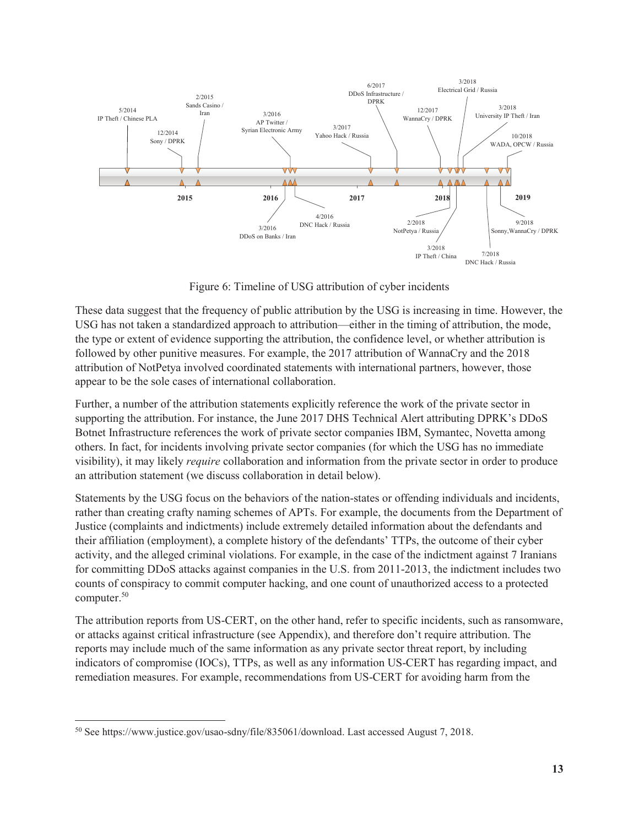

Figure 6: Timeline of USG attribution of cyber incidents

These data suggest that the frequency of public attribution by the USG is increasing in time. However, the USG has not taken a standardized approach to attribution—either in the timing of attribution, the mode, the type or extent of evidence supporting the attribution, the confidence level, or whether attribution is followed by other punitive measures. For example, the 2017 attribution of WannaCry and the 2018 attribution of NotPetya involved coordinated statements with international partners, however, those appear to be the sole cases of international collaboration.

Further, a number of the attribution statements explicitly reference the work of the private sector in supporting the attribution. For instance, the June 2017 DHS Technical Alert attributing DPRK's DDoS Botnet Infrastructure references the work of private sector companies IBM, Symantec, Novetta among others. In fact, for incidents involving private sector companies (for which the USG has no immediate visibility), it may likely *require* collaboration and information from the private sector in order to produce an attribution statement (we discuss collaboration in detail below).

Statements by the USG focus on the behaviors of the nation-states or offending individuals and incidents, rather than creating crafty naming schemes of APTs. For example, the documents from the Department of Justice (complaints and indictments) include extremely detailed information about the defendants and their affiliation (employment), a complete history of the defendants' TTPs, the outcome of their cyber activity, and the alleged criminal violations. For example, in the case of the indictment against 7 Iranians for committing DDoS attacks against companies in the U.S. from 2011-2013, the indictment includes two counts of conspiracy to commit computer hacking, and one count of unauthorized access to a protected computer.<sup>50</sup>

The attribution reports from US-CERT, on the other hand, refer to specific incidents, such as ransomware, or attacks against critical infrastructure (see Appendix), and therefore don't require attribution. The reports may include much of the same information as any private sector threat report, by including indicators of compromise (IOCs), TTPs, as well as any information US-CERT has regarding impact, and remediation measures. For example, recommendations from US-CERT for avoiding harm from the

 $\overline{a}$ 50 See [https://www.justice.gov/usao-sdny/file/835061/download.](https://www.justice.gov/usao-sdny/file/835061/download) Last accessed August 7, 2018.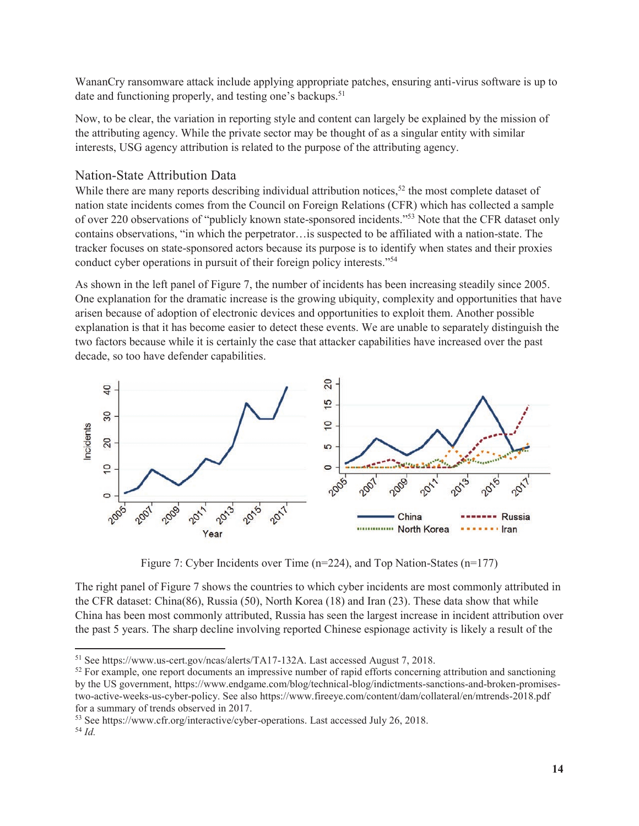WananCry ransomware attack include applying appropriate patches, ensuring anti-virus software is up to date and functioning properly, and testing one's backups.<sup>51</sup>

Now, to be clear, the variation in reporting style and content can largely be explained by the mission of the attributing agency. While the private sector may be thought of as a singular entity with similar interests, USG agency attribution is related to the purpose of the attributing agency.

#### Nation-State Attribution Data

While there are many reports describing individual attribution notices,<sup>52</sup> the most complete dataset of nation state incidents comes from the Council on Foreign Relations (CFR) which has collected a sample of over 220 observations of "publicly known state-sponsored incidents."53 Note that the CFR dataset only contains observations, "in which the perpetrator…is suspected to be affiliated with a nation-state. The tracker focuses on state-sponsored actors because its purpose is to identify when states and their proxies conduct cyber operations in pursuit of their foreign policy interests."<sup>54</sup>

As shown in the left panel of Figure 7, the number of incidents has been increasing steadily since 2005. One explanation for the dramatic increase is the growing ubiquity, complexity and opportunities that have arisen because of adoption of electronic devices and opportunities to exploit them. Another possible explanation is that it has become easier to detect these events. We are unable to separately distinguish the two factors because while it is certainly the case that attacker capabilities have increased over the past decade, so too have defender capabilities.



Figure 7: Cyber Incidents over Time (n=224), and Top Nation-States (n=177)

The right panel of Figure 7 shows the countries to which cyber incidents are most commonly attributed in the CFR dataset: China(86), Russia (50), North Korea (18) and Iran (23). These data show that while China has been most commonly attributed, Russia has seen the largest increase in incident attribution over the past 5 years. The sharp decline involving reported Chinese espionage activity is likely a result of the

53 See [https://www.cfr.org/interactive/cyber-operations.](https://www.cfr.org/interactive/cyber-operations) Last accessed July 26, 2018.

<sup>54</sup> *Id.*

<sup>51</sup> See [https://www.us-cert.gov/ncas/alerts/TA17-132A.](https://www.us-cert.gov/ncas/alerts/TA17-132A) Last accessed August 7, 2018.

<sup>&</sup>lt;sup>52</sup> For example, one report documents an impressive number of rapid efforts concerning attribution and sanctioning by the US government, [https://www.endgame.com/blog/technical-blog/indictments-sanctions-and-broken-promises](https://www.endgame.com/blog/technical-blog/indictments-sanctions-and-broken-promises-two-active-weeks-us-cyber-policy)two-active-weeks-us-cyber-policy. See also<https://www.fireeye.com/content/dam/collateral/en/mtrends-2018.pdf> for a summary of trends observed in 2017.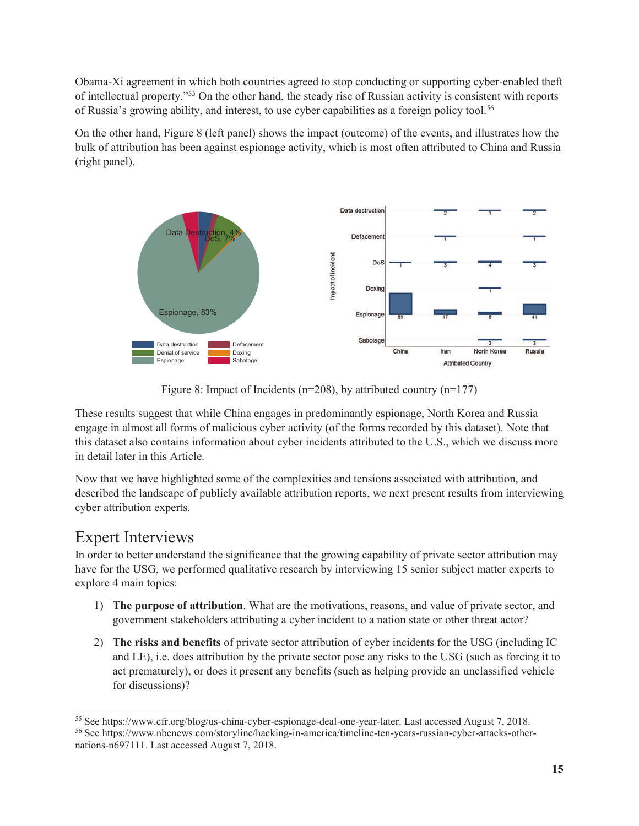Obama-Xi agreement in which both countries agreed to stop conducting or supporting cyber-enabled theft of intellectual property."55 On the other hand, the steady rise of Russian activity is consistent with reports of Russia's growing ability, and interest, to use cyber capabilities as a foreign policy tool.<sup>56</sup>

On the other hand, Figure 8 (left panel) shows the impact (outcome) of the events, and illustrates how the bulk of attribution has been against espionage activity, which is most often attributed to China and Russia (right panel).



Figure 8: Impact of Incidents ( $n=208$ ), by attributed country ( $n=177$ )

These results suggest that while China engages in predominantly espionage, North Korea and Russia engage in almost all forms of malicious cyber activity (of the forms recorded by this dataset). Note that this dataset also contains information about cyber incidents attributed to the U.S., which we discuss more in detail later in this Article.

Now that we have highlighted some of the complexities and tensions associated with attribution, and described the landscape of publicly available attribution reports, we next present results from interviewing cyber attribution experts.

## Expert Interviews

 $\overline{a}$ 

In order to better understand the significance that the growing capability of private sector attribution may have for the USG, we performed qualitative research by interviewing 15 senior subject matter experts to explore 4 main topics:

- 1) **The purpose of attribution**. What are the motivations, reasons, and value of private sector, and government stakeholders attributing a cyber incident to a nation state or other threat actor?
- 2) **The risks and benefits** of private sector attribution of cyber incidents for the USG (including IC and LE), i.e. does attribution by the private sector pose any risks to the USG (such as forcing it to act prematurely), or does it present any benefits (such as helping provide an unclassified vehicle for discussions)?

<sup>55</sup> [See](https://www.nbcnews.com/storyline/hacking-in-america/timeline-ten-years-russian-cyber-attacks-other-nations-n697111) [https://www.cfr.org/blog/us-china-cyber-espionage-deal-one-year-later.](https://www.cfr.org/blog/us-china-cyber-espionage-deal-one-year-later) [Last accessed August 7, 2018. 56 See https://www.nbcnews.com/storyline/hacking-in-america/timeline-ten-years-russian-cyber-attacks-other](https://www.nbcnews.com/storyline/hacking-in-america/timeline-ten-years-russian-cyber-attacks-other-nations-n697111)nations-n697111. Last accessed August 7, 2018.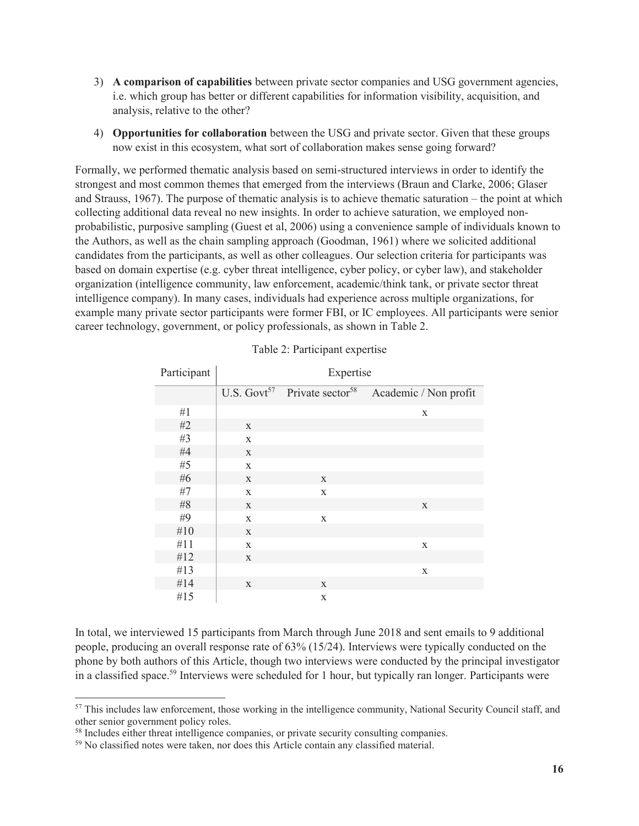- 3) **A comparison of capabilities** between private sector companies and USG government agencies, i.e. which group has better or different capabilities for information visibility, acquisition, and analysis, relative to the other?
- 4) **Opportunities for collaboration** between the USG and private sector. Given that these groups now exist in this ecosystem, what sort of collaboration makes sense going forward?

Formally, we performed thematic analysis based on semi-structured interviews in order to identify the strongest and most common themes that emerged from the interviews (Braun and Clarke, 2006; Glaser and Strauss, 1967). The purpose of thematic analysis is to achieve thematic saturation – the point at which collecting additional data reveal no new insights. In order to achieve saturation, we employed nonprobabilistic, purposive sampling (Guest et al, 2006) using a convenience sample of individuals known to the Authors, as well as the chain sampling approach (Goodman, 1961) where we solicited additional candidates from the participants, as well as other colleagues. Our selection criteria for participants was based on domain expertise (e.g. cyber threat intelligence, cyber policy, or cyber law), and stakeholder organization (intelligence community, law enforcement, academic/think tank, or private sector threat intelligence company). In many cases, individuals had experience across multiple organizations, for example many private sector participants were former FBI, or IC employees. All participants were senior career technology, government, or policy professionals, as shown in Table 2.

| Participant | Expertise    |             |                                                                            |  |  |  |  |  |
|-------------|--------------|-------------|----------------------------------------------------------------------------|--|--|--|--|--|
|             |              |             | U.S. Govt <sup>57</sup> Private sector <sup>58</sup> Academic / Non profit |  |  |  |  |  |
| #1          |              |             | X                                                                          |  |  |  |  |  |
| #2          | $\mathbf X$  |             |                                                                            |  |  |  |  |  |
| #3          | $\mathbf X$  |             |                                                                            |  |  |  |  |  |
| #4          | $\mathbf X$  |             |                                                                            |  |  |  |  |  |
| #5          | $\mathbf X$  |             |                                                                            |  |  |  |  |  |
| #6          | $\mathbf X$  | $\mathbf X$ |                                                                            |  |  |  |  |  |
| #7          | $\mathbf X$  | $\mathbf X$ |                                                                            |  |  |  |  |  |
| $\#8$       | X            |             | $\mathbf X$                                                                |  |  |  |  |  |
| #9          | $\mathbf X$  | $\mathbf X$ |                                                                            |  |  |  |  |  |
| #10         | $\mathbf{X}$ |             |                                                                            |  |  |  |  |  |
| #11         | $\mathbf X$  |             | $\mathbf X$                                                                |  |  |  |  |  |
| #12         | $\mathbf{X}$ |             |                                                                            |  |  |  |  |  |
| #13         |              |             | $\mathbf X$                                                                |  |  |  |  |  |
| #14         | $\mathbf X$  | $\mathbf X$ |                                                                            |  |  |  |  |  |
| #15         |              | $\mathbf X$ |                                                                            |  |  |  |  |  |

| Table 2: Participant expertise |  |
|--------------------------------|--|
|--------------------------------|--|

In total, we interviewed 15 participants from March through June 2018 and sent emails to 9 additional people, producing an overall response rate of 63% (15/24). Interviews were typically conducted on the phone by both authors of this Article, though two interviews were conducted by the principal investigator in a classified space.<sup>59</sup> Interviews were scheduled for 1 hour, but typically ran longer. Participants were

<sup>&</sup>lt;sup>57</sup> This includes law enforcement, those working in the intelligence community, National Security Council staff, and other senior government policy roles.

<sup>&</sup>lt;sup>58</sup> Includes either threat intelligence companies, or private security consulting companies.

<sup>59</sup> No classified notes were taken, nor does this Article contain any classified material.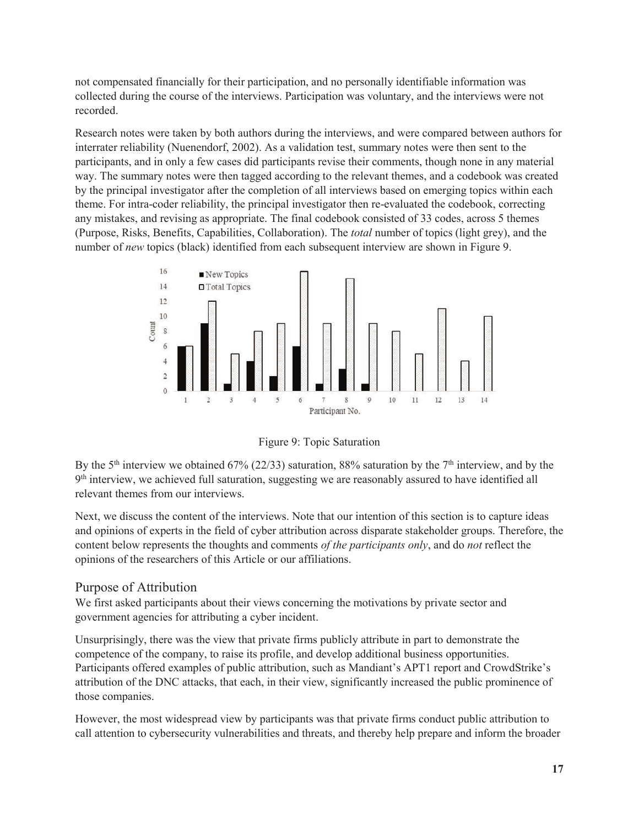not compensated financially for their participation, and no personally identifiable information was collected during the course of the interviews. Participation was voluntary, and the interviews were not recorded.

Research notes were taken by both authors during the interviews, and were compared between authors for interrater reliability (Nuenendorf, 2002). As a validation test, summary notes were then sent to the participants, and in only a few cases did participants revise their comments, though none in any material way. The summary notes were then tagged according to the relevant themes, and a codebook was created by the principal investigator after the completion of all interviews based on emerging topics within each theme. For intra-coder reliability, the principal investigator then re-evaluated the codebook, correcting any mistakes, and revising as appropriate. The final codebook consisted of 33 codes, across 5 themes (Purpose, Risks, Benefits, Capabilities, Collaboration). The *total* number of topics (light grey), and the number of *new* topics (black) identified from each subsequent interview are shown in Figure 9.



Figure 9: Topic Saturation

By the  $5<sup>th</sup>$  interview we obtained 67% (22/33) saturation, 88% saturation by the  $7<sup>th</sup>$  interview, and by the 9<sup>th</sup> interview, we achieved full saturation, suggesting we are reasonably assured to have identified all relevant themes from our interviews.

Next, we discuss the content of the interviews. Note that our intention of this section is to capture ideas and opinions of experts in the field of cyber attribution across disparate stakeholder groups. Therefore, the content below represents the thoughts and comments *of the participants only*, and do *not* reflect the opinions of the researchers of this Article or our affiliations.

#### Purpose of Attribution

We first asked participants about their views concerning the motivations by private sector and government agencies for attributing a cyber incident.

Unsurprisingly, there was the view that private firms publicly attribute in part to demonstrate the competence of the company, to raise its profile, and develop additional business opportunities. Participants offered examples of public attribution, such as Mandiant's APT1 report and CrowdStrike's attribution of the DNC attacks, that each, in their view, significantly increased the public prominence of those companies.

However, the most widespread view by participants was that private firms conduct public attribution to call attention to cybersecurity vulnerabilities and threats, and thereby help prepare and inform the broader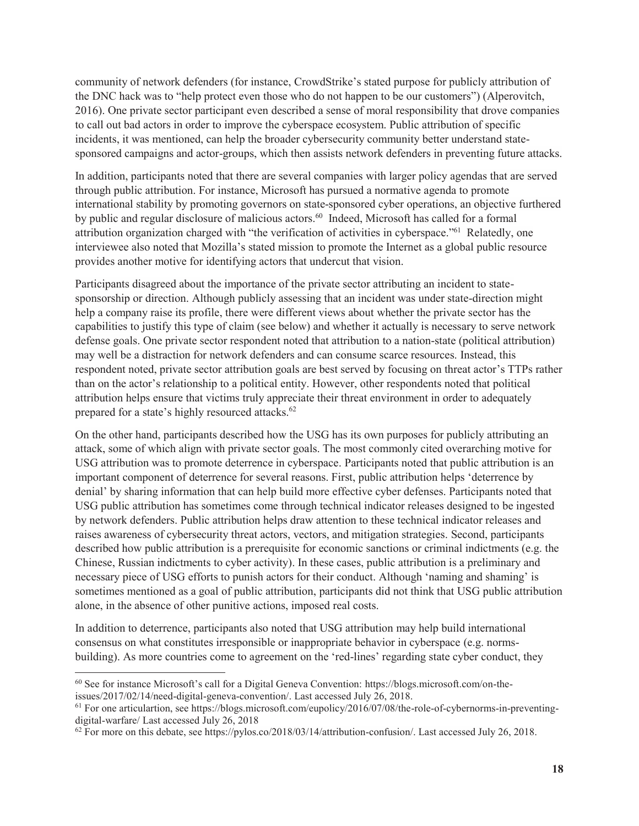community of network defenders (for instance, CrowdStrike's stated purpose for publicly attribution of the DNC hack was to "help protect even those who do not happen to be our customers") (Alperovitch, 2016). One private sector participant even described a sense of moral responsibility that drove companies to call out bad actors in order to improve the cyberspace ecosystem. Public attribution of specific incidents, it was mentioned, can help the broader cybersecurity community better understand statesponsored campaigns and actor-groups, which then assists network defenders in preventing future attacks.

In addition, participants noted that there are several companies with larger policy agendas that are served through public attribution. For instance, Microsoft has pursued a normative agenda to promote international stability by promoting governors on state-sponsored cyber operations, an objective furthered by public and regular disclosure of malicious actors.<sup>60</sup> Indeed, Microsoft has called for a formal attribution organization charged with "the verification of activities in cyberspace."61 Relatedly, one interviewee also noted that Mozilla's stated mission to promote the Internet as a global public resource provides another motive for identifying actors that undercut that vision.

Participants disagreed about the importance of the private sector attributing an incident to statesponsorship or direction. Although publicly assessing that an incident was under state-direction might help a company raise its profile, there were different views about whether the private sector has the capabilities to justify this type of claim (see below) and whether it actually is necessary to serve network defense goals. One private sector respondent noted that attribution to a nation-state (political attribution) may well be a distraction for network defenders and can consume scarce resources. Instead, this respondent noted, private sector attribution goals are best served by focusing on threat actor's TTPs rather than on the actor's relationship to a political entity. However, other respondents noted that political attribution helps ensure that victims truly appreciate their threat environment in order to adequately prepared for a state's highly resourced attacks.<sup>62</sup>

On the other hand, participants described how the USG has its own purposes for publicly attributing an attack, some of which align with private sector goals. The most commonly cited overarching motive for USG attribution was to promote deterrence in cyberspace. Participants noted that public attribution is an important component of deterrence for several reasons. First, public attribution helps 'deterrence by denial' by sharing information that can help build more effective cyber defenses. Participants noted that USG public attribution has sometimes come through technical indicator releases designed to be ingested by network defenders. Public attribution helps draw attention to these technical indicator releases and raises awareness of cybersecurity threat actors, vectors, and mitigation strategies. Second, participants described how public attribution is a prerequisite for economic sanctions or criminal indictments (e.g. the Chinese, Russian indictments to cyber activity). In these cases, public attribution is a preliminary and necessary piece of USG efforts to punish actors for their conduct. Although 'naming and shaming' is sometimes mentioned as a goal of public attribution, participants did not think that USG public attribution alone, in the absence of other punitive actions, imposed real costs.

In addition to deterrence, participants also noted that USG attribution may help build international consensus on what constitutes irresponsible or inappropriate behavior in cyberspace (e.g. normsbuilding). As more countries come to agreement on the 'red-lines' regarding state cyber conduct, they

<sup>60</sup> See for instance Microsoft's call for a Digital Geneva Convention: https://blogs.microsoft.com/on-the[issues/2017/02/14/need-digital-geneva-convention/. Last accessed July 26, 2018.](https://blogs.microsoft.com/on-the-issues/2017/02/14/need-digital-geneva-convention/) 

[<sup>61</sup> For one articulartion, see https://blogs.microsoft.com/eupolicy/2016/07/08/the-role-of-cybernorms-in-preventing](https://blogs.microsoft.com/eupolicy/2016/07/08/the-role-of-cybernorms-in-preventing-digital-warfare/)digital-warfare/ Last accessed July 26, 2018

 $^{62}$  For more on this debate, see [https://pylos.co/2018/03/14/attribution-confusion/.](https://pylos.co/2018/03/14/attribution-confusion/) Last accessed July 26, 2018.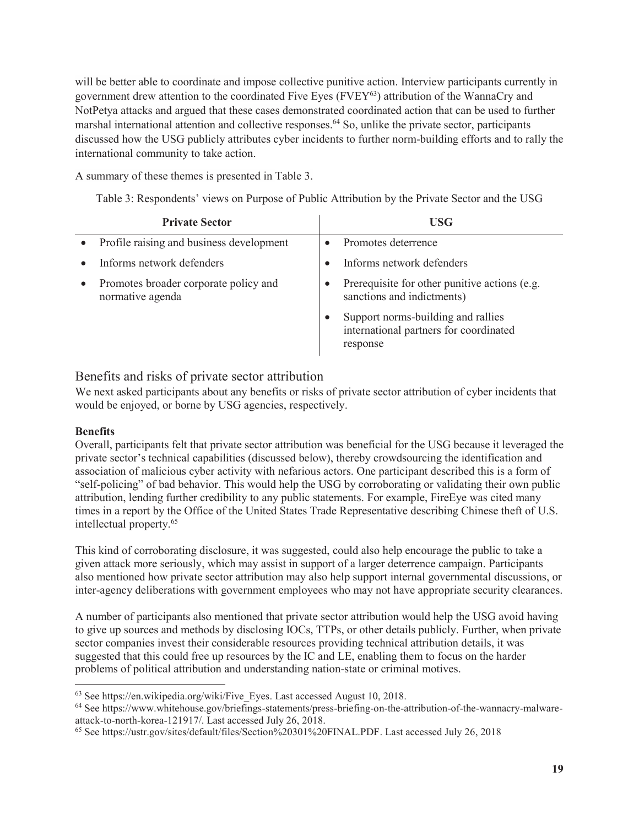will be better able to coordinate and impose collective punitive action. Interview participants currently in government drew attention to the coordinated Five Eyes (FVEY63) attribution of the WannaCry and NotPetya attacks and argued that these cases demonstrated coordinated action that can be used to further marshal international attention and collective responses.<sup>64</sup> So, unlike the private sector, participants discussed how the USG publicly attributes cyber incidents to further norm-building efforts and to rally the international community to take action.

A summary of these themes is presented in Table 3.

|  | Table 3: Respondents' views on Purpose of Public Attribution by the Private Sector and the USG |  |  |
|--|------------------------------------------------------------------------------------------------|--|--|
|--|------------------------------------------------------------------------------------------------|--|--|

| <b>Private Sector</b>                                     | USG                                                                                      |
|-----------------------------------------------------------|------------------------------------------------------------------------------------------|
| Profile raising and business development                  | Promotes deterrence                                                                      |
| Informs network defenders                                 | Informs network defenders                                                                |
| Promotes broader corporate policy and<br>normative agenda | Prerequisite for other punitive actions (e.g.<br>sanctions and indictments)              |
|                                                           | Support norms-building and rallies<br>international partners for coordinated<br>response |

#### Benefits and risks of private sector attribution

We next asked participants about any benefits or risks of private sector attribution of cyber incidents that would be enjoyed, or borne by USG agencies, respectively.

#### **Benefits**

 $\overline{a}$ 

Overall, participants felt that private sector attribution was beneficial for the USG because it leveraged the private sector's technical capabilities (discussed below), thereby crowdsourcing the identification and association of malicious cyber activity with nefarious actors. One participant described this is a form of "self-policing" of bad behavior. This would help the USG by corroborating or validating their own public attribution, lending further credibility to any public statements. For example, FireEye was cited many times in a report by the Office of the United States Trade Representative describing Chinese theft of U.S. intellectual property.65

This kind of corroborating disclosure, it was suggested, could also help encourage the public to take a given attack more seriously, which may assist in support of a larger deterrence campaign. Participants also mentioned how private sector attribution may also help support internal governmental discussions, or inter-agency deliberations with government employees who may not have appropriate security clearances.

A number of participants also mentioned that private sector attribution would help the USG avoid having to give up sources and methods by disclosing IOCs, TTPs, or other details publicly. Further, when private sector companies invest their considerable resources providing technical attribution details, it was suggested that this could free up resources by the IC and LE, enabling them to focus on the harder problems of political attribution and understanding nation-state or criminal motives.

<sup>63</sup> See [https://en.wikipedia.org/wiki/Five\\_Eyes.](https://en.wikipedia.org/wiki/Five_Eyes) Last accessed August 10, 2018.

<sup>64</sup> See [https://www.whitehouse.gov/briefings-statements/press-briefing-on-the-attribution-of-the-wannacry-ma](https://www.whitehouse.gov/briefings-statements/press-briefing-on-the-attribution-of-the-wannacry-malware-attack-to-north-korea-121917/)lwareattack[-to-north-korea-121917/. La](https://www.whitehouse.gov/briefings-statements/press-briefing-on-the-attribution-of-the-wannacry-malware-attack-to-north-korea-121917/)st accessed July 26, 2018.

<sup>65</sup> See [https://ustr.gov/sites/default/files/Section%20301%20FINAL.PDF.](https://ustr.gov/sites/default/files/Section%20301%20FINAL.PDF) Last accessed July 26, 2018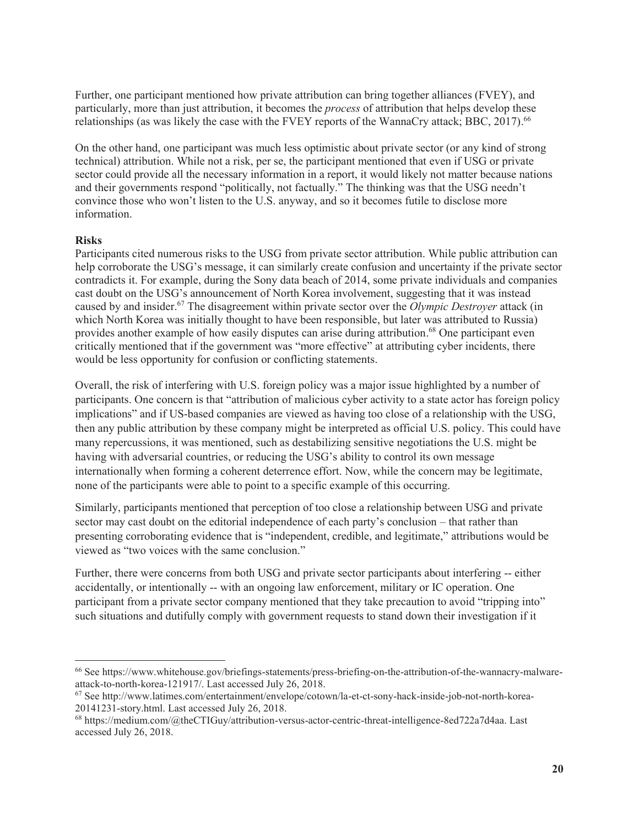Further, one participant mentioned how private attribution can bring together alliances (FVEY), and particularly, more than just attribution, it becomes the *process* of attribution that helps develop these relationships (as was likely the case with the FVEY reports of the WannaCry attack; BBC, 2017).<sup>66</sup>

On the other hand, one participant was much less optimistic about private sector (or any kind of strong technical) attribution. While not a risk, per se, the participant mentioned that even if USG or private sector could provide all the necessary information in a report, it would likely not matter because nations and their governments respond "politically, not factually." The thinking was that the USG needn't convince those who won't listen to the U.S. anyway, and so it becomes futile to disclose more information.

#### **Risks**

 $\overline{a}$ 

Participants cited numerous risks to the USG from private sector attribution. While public attribution can help corroborate the USG's message, it can similarly create confusion and uncertainty if the private sector contradicts it. For example, during the Sony data beach of 2014, some private individuals and companies cast doubt on the USG's announcement of North Korea involvement, suggesting that it was instead caused by and insider.67 The disagreement within private sector over the *Olympic Destroyer* attack (in which North Korea was initially thought to have been responsible, but later was attributed to Russia) provides another example of how easily disputes can arise during attribution.68 One participant even critically mentioned that if the government was "more effective" at attributing cyber incidents, there would be less opportunity for confusion or conflicting statements.

Overall, the risk of interfering with U.S. foreign policy was a major issue highlighted by a number of participants. One concern is that "attribution of malicious cyber activity to a state actor has foreign policy implications" and if US-based companies are viewed as having too close of a relationship with the USG, then any public attribution by these company might be interpreted as official U.S. policy. This could have many repercussions, it was mentioned, such as destabilizing sensitive negotiations the U.S. might be having with adversarial countries, or reducing the USG's ability to control its own message internationally when forming a coherent deterrence effort. Now, while the concern may be legitimate, none of the participants were able to point to a specific example of this occurring.

Similarly, participants mentioned that perception of too close a relationship between USG and private sector may cast doubt on the editorial independence of each party's conclusion – that rather than presenting corroborating evidence that is "independent, credible, and legitimate," attributions would be viewed as "two voices with the same conclusion."

Further, there were concerns from both USG and private sector participants about interfering -- either accidentally, or intentionally -- with an ongoing law enforcement, military or IC operation. One participant from a private sector company mentioned that they take precaution to avoid "tripping into" such situations and dutifully comply with government requests to stand down their investigation if it

[<sup>66</sup> See https://www.whitehouse.gov/briefings-statements/press-briefing-on-the-attribution-of-the-wannacry-malware](https://www.whitehouse.gov/briefings-statements/press-briefing-on-the-attribution-of-the-wannacry-malware-attack-to-north-korea-121917/)attack-to-north-korea-121917/. Last accessed July 26, 2018.

[<sup>67</sup> See http://www.latimes.com/entertainment/envelope/cotown/la-et-ct-sony-hack-inside-job-not-north-korea-](http://www.latimes.com/entertainment/envelope/cotown/la-et-ct-sony-hack-inside-job-not-north-korea-20141231-story.html)20141231-story.html. Last accessed July 26, 2018.

<sup>68</sup> [https://medium.com/@theCTIGuy/attribution-versus-actor-centric-threat-intelligence-8ed722a7d4aa.](https://medium.com/@theCTIGuy/attribution-versus-actor-centric-threat-intelligence-8ed722a7d4aa) Last accessed July 26, 2018.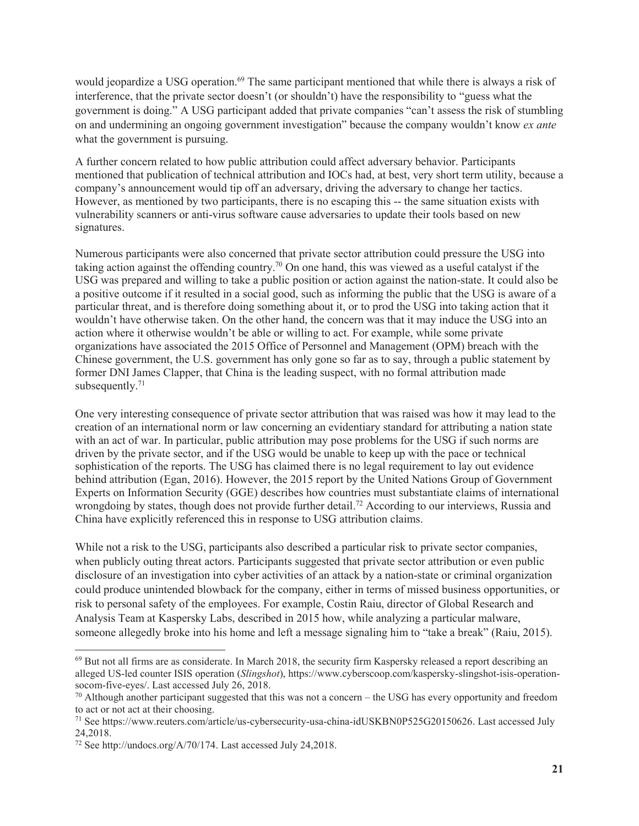would jeopardize a USG operation.<sup>69</sup> The same participant mentioned that while there is always a risk of interference, that the private sector doesn't (or shouldn't) have the responsibility to "guess what the government is doing." A USG participant added that private companies "can't assess the risk of stumbling on and undermining an ongoing government investigation" because the company wouldn't know *ex ante*  what the government is pursuing.

A further concern related to how public attribution could affect adversary behavior. Participants mentioned that publication of technical attribution and IOCs had, at best, very short term utility, because a company's announcement would tip off an adversary, driving the adversary to change her tactics. However, as mentioned by two participants, there is no escaping this -- the same situation exists with vulnerability scanners or anti-virus software cause adversaries to update their tools based on new signatures.

Numerous participants were also concerned that private sector attribution could pressure the USG into taking action against the offending country.<sup>70</sup> On one hand, this was viewed as a useful catalyst if the USG was prepared and willing to take a public position or action against the nation-state. It could also be a positive outcome if it resulted in a social good, such as informing the public that the USG is aware of a particular threat, and is therefore doing something about it, or to prod the USG into taking action that it wouldn't have otherwise taken. On the other hand, the concern was that it may induce the USG into an action where it otherwise wouldn't be able or willing to act. For example, while some private organizations have associated the 2015 Office of Personnel and Management (OPM) breach with the Chinese government, the U.S. government has only gone so far as to say, through a public statement by former DNI James Clapper, that China is the leading suspect, with no formal attribution made subsequently. $71$ 

One very interesting consequence of private sector attribution that was raised was how it may lead to the creation of an international norm or law concerning an evidentiary standard for attributing a nation state with an act of war. In particular, public attribution may pose problems for the USG if such norms are driven by the private sector, and if the USG would be unable to keep up with the pace or technical sophistication of the reports. The USG has claimed there is no legal requirement to lay out evidence behind attribution (Egan, 2016). However, the 2015 report by the United Nations Group of Government Experts on Information Security (GGE) describes how countries must substantiate claims of international wrongdoing by states, though does not provide further detail.<sup>72</sup> According to our interviews, Russia and China have explicitly referenced this in response to USG attribution claims.

While not a risk to the USG, participants also described a particular risk to private sector companies, when publicly outing threat actors. Participants suggested that private sector attribution or even public disclosure of an investigation into cyber activities of an attack by a nation-state or criminal organization could produce unintended blowback for the company, either in terms of missed business opportunities, or risk to personal safety of the employees. For example, Costin Raiu, director of Global Research and Analysis Team at Kaspersky Labs, described in 2015 how, while analyzing a particular malware, someone allegedly broke into his home and left a message signaling him to "take a break" (Raiu, 2015).

<sup>&</sup>lt;sup>69</sup> But not all firms are as considerate. In March 2018, the security firm Kaspersky released a report describing an alleged US-led counter ISIS operation (*Slingshot*[\), https://www.cyberscoop.com/kaspersky-slingshot-isis-operation](https://www.cyberscoop.com/kaspersky-slingshot-isis-operation-socom-five-eyes/)socom-five-eyes/. Last accessed July 26, 2018.

 $70$  Although another participant suggested that this was not a concern – the USG has every opportunity and freedom to act or not act at their choosing.

<sup>71</sup> See [https://www.reuters.com/article/us-cybersecurity-usa-china-idUSKBN0P525G20150626.](https://www.reuters.com/article/us-cybersecurity-usa-china-idUSKBN0P525G20150626) Last accessed July 24,2018.

<sup>72</sup> See [http://undocs.org/A/70/174.](http://undocs.org/A/70/174) Last accessed July 24,2018.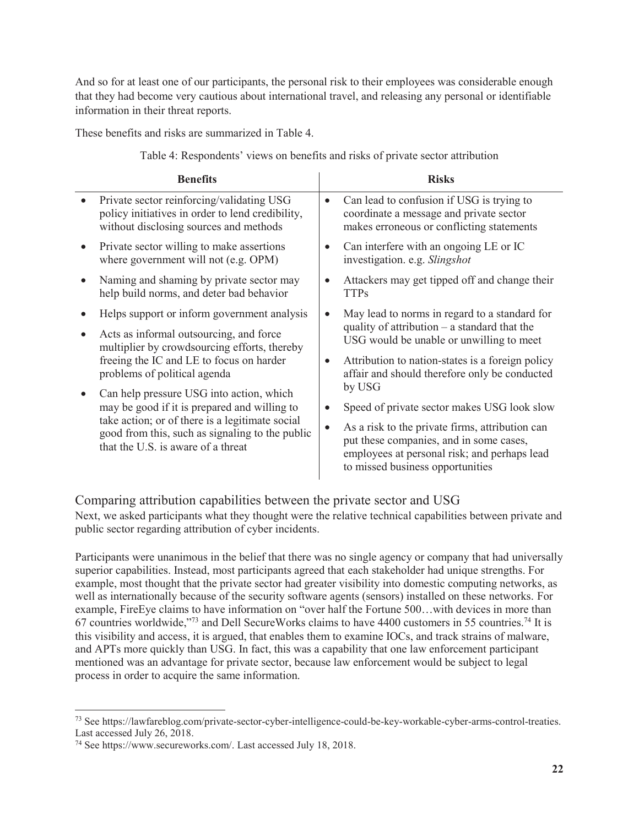And so for at least one of our participants, the personal risk to their employees was considerable enough that they had become very cautious about international travel, and releasing any personal or identifiable information in their threat reports.

These benefits and risks are summarized in Table 4.

|  |  |  | Table 4: Respondents' views on benefits and risks of private sector attribution |
|--|--|--|---------------------------------------------------------------------------------|
|--|--|--|---------------------------------------------------------------------------------|

| <b>Benefits</b>                                                                                                                                                                                                                                                                                                                                                                                                      |           | <b>Risks</b>                                                                                                                                                                                                                                                                                                                                                 |
|----------------------------------------------------------------------------------------------------------------------------------------------------------------------------------------------------------------------------------------------------------------------------------------------------------------------------------------------------------------------------------------------------------------------|-----------|--------------------------------------------------------------------------------------------------------------------------------------------------------------------------------------------------------------------------------------------------------------------------------------------------------------------------------------------------------------|
| Private sector reinforcing/validating USG<br>policy initiatives in order to lend credibility,<br>without disclosing sources and methods                                                                                                                                                                                                                                                                              | $\bullet$ | Can lead to confusion if USG is trying to<br>coordinate a message and private sector<br>makes erroneous or conflicting statements                                                                                                                                                                                                                            |
| Private sector willing to make assertions<br>where government will not (e.g. OPM)                                                                                                                                                                                                                                                                                                                                    |           | Can interfere with an ongoing LE or IC<br>investigation. e.g. Slingshot                                                                                                                                                                                                                                                                                      |
| Naming and shaming by private sector may<br>help build norms, and deter bad behavior                                                                                                                                                                                                                                                                                                                                 |           | Attackers may get tipped off and change their<br><b>TTPs</b>                                                                                                                                                                                                                                                                                                 |
| Helps support or inform government analysis<br>Acts as informal outsourcing, and force<br>multiplier by crowdsourcing efforts, thereby<br>freeing the IC and LE to focus on harder<br>problems of political agenda<br>Can help pressure USG into action, which<br>may be good if it is prepared and willing to<br>take action; or of there is a legitimate social<br>good from this, such as signaling to the public |           | May lead to norms in regard to a standard for<br>quality of attribution $-$ a standard that the<br>USG would be unable or unwilling to meet<br>Attribution to nation-states is a foreign policy<br>affair and should therefore only be conducted<br>by USG<br>Speed of private sector makes USG look slow<br>As a risk to the private firms, attribution can |
| that the U.S. is aware of a threat                                                                                                                                                                                                                                                                                                                                                                                   |           | put these companies, and in some cases,<br>employees at personal risk; and perhaps lead<br>to missed business opportunities                                                                                                                                                                                                                                  |

Comparing attribution capabilities between the private sector and USG Next, we asked participants what they thought were the relative technical capabilities between private and public sector regarding attribution of cyber incidents.

Participants were unanimous in the belief that there was no single agency or company that had universally superior capabilities. Instead, most participants agreed that each stakeholder had unique strengths. For example, most thought that the private sector had greater visibility into domestic computing networks, as well as internationally because of the security software agents (sensors) installed on these networks. For example, FireEye claims to have information on "over half the Fortune 500…with devices in more than 67 countries worldwide,"73 and Dell SecureWorks claims to have 4400 customers in 55 countries.74 It is this visibility and access, it is argued, that enables them to examine IOCs, and track strains of malware, and APTs more quickly than USG. In fact, this was a capability that one law enforcement participant mentioned was an advantage for private sector, because law enforcement would be subject to legal process in order to acquire the same information.

 $\overline{a}$ 73 See https://lawfareblog.com/private-sector-cyber-intelligence-could-be-key-workable-cyber-arms-control-treaties. Last accessed July 26, 2018.

<sup>74</sup> See [https://www.secureworks.com/.](https://www.secureworks.com/) Last accessed July 18, 2018.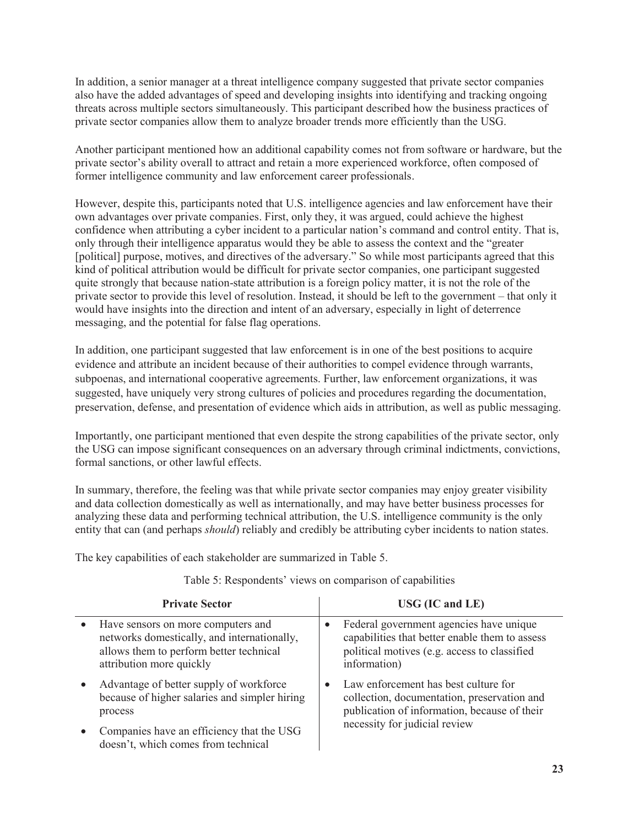In addition, a senior manager at a threat intelligence company suggested that private sector companies also have the added advantages of speed and developing insights into identifying and tracking ongoing threats across multiple sectors simultaneously. This participant described how the business practices of private sector companies allow them to analyze broader trends more efficiently than the USG.

Another participant mentioned how an additional capability comes not from software or hardware, but the private sector's ability overall to attract and retain a more experienced workforce, often composed of former intelligence community and law enforcement career professionals.

However, despite this, participants noted that U.S. intelligence agencies and law enforcement have their own advantages over private companies. First, only they, it was argued, could achieve the highest confidence when attributing a cyber incident to a particular nation's command and control entity. That is, only through their intelligence apparatus would they be able to assess the context and the "greater [political] purpose, motives, and directives of the adversary." So while most participants agreed that this kind of political attribution would be difficult for private sector companies, one participant suggested quite strongly that because nation-state attribution is a foreign policy matter, it is not the role of the private sector to provide this level of resolution. Instead, it should be left to the government – that only it would have insights into the direction and intent of an adversary, especially in light of deterrence messaging, and the potential for false flag operations.

In addition, one participant suggested that law enforcement is in one of the best positions to acquire evidence and attribute an incident because of their authorities to compel evidence through warrants, subpoenas, and international cooperative agreements. Further, law enforcement organizations, it was suggested, have uniquely very strong cultures of policies and procedures regarding the documentation, preservation, defense, and presentation of evidence which aids in attribution, as well as public messaging.

Importantly, one participant mentioned that even despite the strong capabilities of the private sector, only the USG can impose significant consequences on an adversary through criminal indictments, convictions, formal sanctions, or other lawful effects.

In summary, therefore, the feeling was that while private sector companies may enjoy greater visibility and data collection domestically as well as internationally, and may have better business processes for analyzing these data and performing technical attribution, the U.S. intelligence community is the only entity that can (and perhaps *should*) reliably and credibly be attributing cyber incidents to nation states.

The key capabilities of each stakeholder are summarized in Table 5.

| <b>Private Sector</b>                                                                                                                                    | USG (IC and LE)                                                                                                                                           |
|----------------------------------------------------------------------------------------------------------------------------------------------------------|-----------------------------------------------------------------------------------------------------------------------------------------------------------|
| Have sensors on more computers and<br>networks domestically, and internationally,<br>allows them to perform better technical<br>attribution more quickly | Federal government agencies have unique<br>capabilities that better enable them to assess<br>political motives (e.g. access to classified<br>information) |
| Advantage of better supply of workforce<br>because of higher salaries and simpler hiring<br>process                                                      | Law enforcement has best culture for<br>collection, documentation, preservation and<br>publication of information, because of their                       |
| Companies have an efficiency that the USG<br>doesn't, which comes from technical                                                                         | necessity for judicial review                                                                                                                             |

Table 5: Respondents' views on comparison of capabilities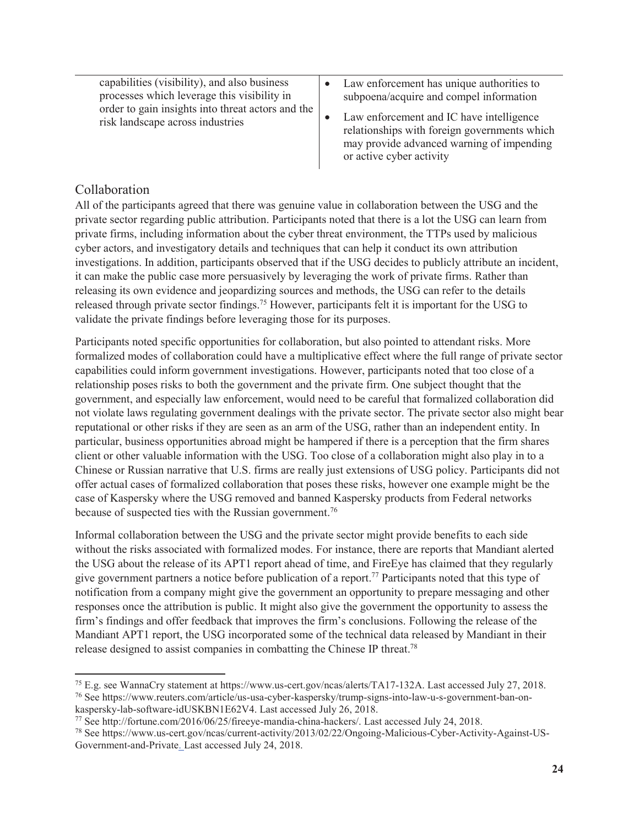capabilities (visibility), and also business processes which leverage this visibility in order to gain insights into threat actors and the risk landscape across industries

- Law enforcement has unique authorities to subpoena/acquire and compel information
- Law enforcement and IC have intelligence relationships with foreign governments which may provide advanced warning of impending or active cyber activity

#### Collaboration

 $\overline{a}$ 

All of the participants agreed that there was genuine value in collaboration between the USG and the private sector regarding public attribution. Participants noted that there is a lot the USG can learn from private firms, including information about the cyber threat environment, the TTPs used by malicious cyber actors, and investigatory details and techniques that can help it conduct its own attribution investigations. In addition, participants observed that if the USG decides to publicly attribute an incident, it can make the public case more persuasively by leveraging the work of private firms. Rather than releasing its own evidence and jeopardizing sources and methods, the USG can refer to the details released through private sector findings.75 However, participants felt it is important for the USG to validate the private findings before leveraging those for its purposes.

Participants noted specific opportunities for collaboration, but also pointed to attendant risks. More formalized modes of collaboration could have a multiplicative effect where the full range of private sector capabilities could inform government investigations. However, participants noted that too close of a relationship poses risks to both the government and the private firm. One subject thought that the government, and especially law enforcement, would need to be careful that formalized collaboration did not violate laws regulating government dealings with the private sector. The private sector also might bear reputational or other risks if they are seen as an arm of the USG, rather than an independent entity. In particular, business opportunities abroad might be hampered if there is a perception that the firm shares client or other valuable information with the USG. Too close of a collaboration might also play in to a Chinese or Russian narrative that U.S. firms are really just extensions of USG policy. Participants did not offer actual cases of formalized collaboration that poses these risks, however one example might be the case of Kaspersky where the USG removed and banned Kaspersky products from Federal networks because of suspected ties with the Russian government.<sup>76</sup>

Informal collaboration between the USG and the private sector might provide benefits to each side without the risks associated with formalized modes. For instance, there are reports that Mandiant alerted the USG about the release of its APT1 report ahead of time, and FireEye has claimed that they regularly give government partners a notice before publication of a report.<sup>77</sup> Participants noted that this type of notification from a company might give the government an opportunity to prepare messaging and other responses once the attribution is public. It might also give the government the opportunity to assess the firm's findings and offer feedback that improves the firm's conclusions. Following the release of the Mandiant APT1 report, the USG incorporated some of the technical data released by Mandiant in their release designed to assist companies in combatting the Chinese IP threat.78

<sup>75</sup> E.g. see WannaCry statement at [https://www.us-cert.gov/ncas/alerts/TA17-132A.](https://www.us-cert.gov/ncas/alerts/TA17-132A) Last accessed July 27, 2018. [76 See https://www.reuters.com/article/us-usa-cyber-kaspersky/trump-signs-into-law-u-s-government-ban-on](https://www.reuters.com/article/us-usa-cyber-kaspersky/trump-signs-into-law-u-s-government-ban-on-kaspersky-lab-software-idUSKBN1E62V4)kaspersky-lab-software-idUSKBN1E62V4. Last accessed July 26, 2018.

<sup>77</sup> See [http://fortune.com/2016/06/25/fireeye-mandia-china-hackers/.](http://fortune.com/2016/06/25/fireeye-mandia-china-hackers/) Last accessed July 24, 2018.

[<sup>78</sup> See https://www.us-cert.gov/ncas/current-activity/2013/02/22/Ongoing-Malicious-Cyber-Activity-Against-US-](https://www.us-cert.gov/ncas/current-activity/2013/02/22/Ongoing-Malicious-Cyber-Activity-Against-US-Government-and-Private)Government-and-Private. Last accessed July 24, 2018.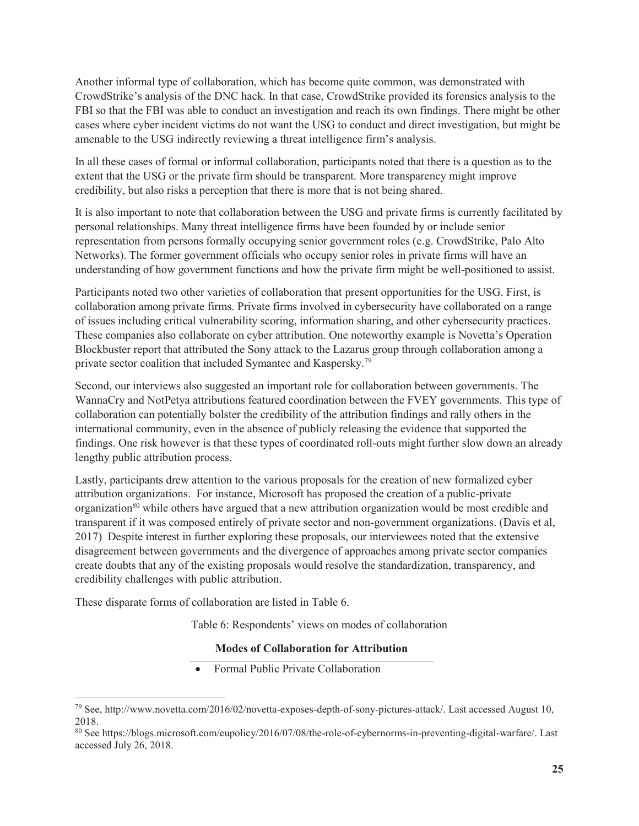Another informal type of collaboration, which has become quite common, was demonstrated with CrowdStrike's analysis of the DNC hack. In that case, CrowdStrike provided its forensics analysis to the FBI so that the FBI was able to conduct an investigation and reach its own findings. There might be other cases where cyber incident victims do not want the USG to conduct and direct investigation, but might be amenable to the USG indirectly reviewing a threat intelligence firm's analysis.

In all these cases of formal or informal collaboration, participants noted that there is a question as to the extent that the USG or the private firm should be transparent. More transparency might improve credibility, but also risks a perception that there is more that is not being shared.

It is also important to note that collaboration between the USG and private firms is currently facilitated by personal relationships. Many threat intelligence firms have been founded by or include senior representation from persons formally occupying senior government roles (e.g. CrowdStrike, Palo Alto Networks). The former government officials who occupy senior roles in private firms will have an understanding of how government functions and how the private firm might be well-positioned to assist.

Participants noted two other varieties of collaboration that present opportunities for the USG. First, is collaboration among private firms. Private firms involved in cybersecurity have collaborated on a range of issues including critical vulnerability scoring, information sharing, and other cybersecurity practices. These companies also collaborate on cyber attribution. One noteworthy example is Novetta's Operation Blockbuster report that attributed the Sony attack to the Lazarus group through collaboration among a private sector coalition that included Symantec and Kaspersky.79

Second, our interviews also suggested an important role for collaboration between governments. The WannaCry and NotPetya attributions featured coordination between the FVEY governments. This type of collaboration can potentially bolster the credibility of the attribution findings and rally others in the international community, even in the absence of publicly releasing the evidence that supported the findings. One risk however is that these types of coordinated roll-outs might further slow down an already lengthy public attribution process.

Lastly, participants drew attention to the various proposals for the creation of new formalized cyber attribution organizations. For instance, Microsoft has proposed the creation of a public-private organization<sup>80</sup> while others have argued that a new attribution organization would be most credible and transparent if it was composed entirely of private sector and non-government organizations. (Davis et al, 2017) Despite interest in further exploring these proposals, our interviewees noted that the extensive disagreement between governments and the divergence of approaches among private sector companies create doubts that any of the existing proposals would resolve the standardization, transparency, and credibility challenges with public attribution.

These disparate forms of collaboration are listed in Table 6.

 $\overline{a}$ 

Table 6: Respondents' views on modes of collaboration

#### **Modes of Collaboration for Attribution**

Formal Public Private Collaboration

 $79$  See, [http://www.novetta.com/2016/02/novetta-exposes-depth-of-sony-pictures-attack/.](http://www.novetta.com/2016/02/novetta-exposes-depth-of-sony-pictures-attack/) Last accessed August 10, 2018.

<sup>80</sup> See [https://blogs.microsoft.com/eupolicy/2016/07/08/the-role-of-cybernorms-in-preventing-digital-warfare/.](https://blogs.microsoft.com/eupolicy/2016/07/08/the-role-of-cybernorms-in-preventing-digital-warfare/) Last accessed July 26, 2018.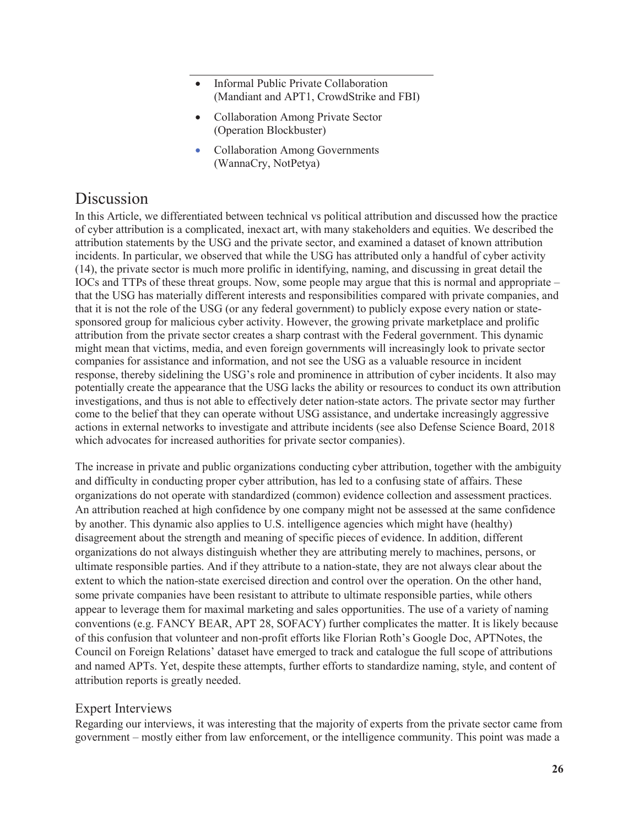- Informal Public Private Collaboration (Mandiant and APT1, CrowdStrike and FBI)
- Collaboration Among Private Sector (Operation Blockbuster)
- Collaboration Among Governments (WannaCry, NotPetya)

### Discussion

In this Article, we differentiated between technical vs political attribution and discussed how the practice of cyber attribution is a complicated, inexact art, with many stakeholders and equities. We described the attribution statements by the USG and the private sector, and examined a dataset of known attribution incidents. In particular, we observed that while the USG has attributed only a handful of cyber activity (14), the private sector is much more prolific in identifying, naming, and discussing in great detail the IOCs and TTPs of these threat groups. Now, some people may argue that this is normal and appropriate – that the USG has materially different interests and responsibilities compared with private companies, and that it is not the role of the USG (or any federal government) to publicly expose every nation or statesponsored group for malicious cyber activity. However, the growing private marketplace and prolific attribution from the private sector creates a sharp contrast with the Federal government. This dynamic might mean that victims, media, and even foreign governments will increasingly look to private sector companies for assistance and information, and not see the USG as a valuable resource in incident response, thereby sidelining the USG's role and prominence in attribution of cyber incidents. It also may potentially create the appearance that the USG lacks the ability or resources to conduct its own attribution investigations, and thus is not able to effectively deter nation-state actors. The private sector may further come to the belief that they can operate without USG assistance, and undertake increasingly aggressive actions in external networks to investigate and attribute incidents (see also Defense Science Board, 2018 which advocates for increased authorities for private sector companies).

The increase in private and public organizations conducting cyber attribution, together with the ambiguity and difficulty in conducting proper cyber attribution, has led to a confusing state of affairs. These organizations do not operate with standardized (common) evidence collection and assessment practices. An attribution reached at high confidence by one company might not be assessed at the same confidence by another. This dynamic also applies to U.S. intelligence agencies which might have (healthy) disagreement about the strength and meaning of specific pieces of evidence. In addition, different organizations do not always distinguish whether they are attributing merely to machines, persons, or ultimate responsible parties. And if they attribute to a nation-state, they are not always clear about the extent to which the nation-state exercised direction and control over the operation. On the other hand, some private companies have been resistant to attribute to ultimate responsible parties, while others appear to leverage them for maximal marketing and sales opportunities. The use of a variety of naming conventions (e.g. FANCY BEAR, APT 28, SOFACY) further complicates the matter. It is likely because of this confusion that volunteer and non-profit efforts like Florian Roth's Google Doc, APTNotes, the Council on Foreign Relations' dataset have emerged to track and catalogue the full scope of attributions and named APTs. Yet, despite these attempts, further efforts to standardize naming, style, and content of attribution reports is greatly needed.

#### Expert Interviews

Regarding our interviews, it was interesting that the majority of experts from the private sector came from government – mostly either from law enforcement, or the intelligence community. This point was made a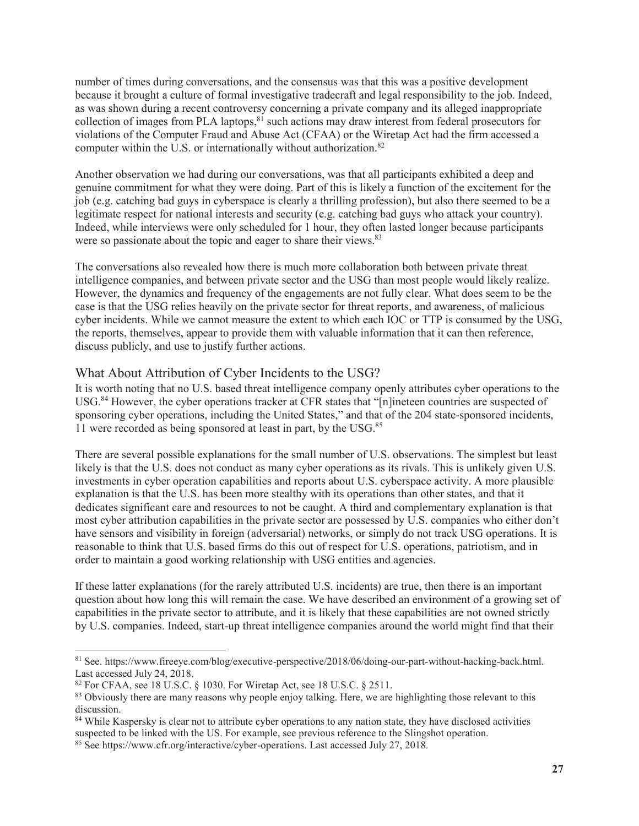number of times during conversations, and the consensus was that this was a positive development because it brought a culture of formal investigative tradecraft and legal responsibility to the job. Indeed, as was shown during a recent controversy concerning a private company and its alleged inappropriate collection of images from PLA laptops, $81$  such actions may draw interest from federal prosecutors for violations of the Computer Fraud and Abuse Act (CFAA) or the Wiretap Act had the firm accessed a computer within the U.S. or internationally without authorization.<sup>82</sup>

Another observation we had during our conversations, was that all participants exhibited a deep and genuine commitment for what they were doing. Part of this is likely a function of the excitement for the job (e.g. catching bad guys in cyberspace is clearly a thrilling profession), but also there seemed to be a legitimate respect for national interests and security (e.g. catching bad guys who attack your country). Indeed, while interviews were only scheduled for 1 hour, they often lasted longer because participants were so passionate about the topic and eager to share their views.<sup>83</sup>

The conversations also revealed how there is much more collaboration both between private threat intelligence companies, and between private sector and the USG than most people would likely realize. However, the dynamics and frequency of the engagements are not fully clear. What does seem to be the case is that the USG relies heavily on the private sector for threat reports, and awareness, of malicious cyber incidents. While we cannot measure the extent to which each IOC or TTP is consumed by the USG, the reports, themselves, appear to provide them with valuable information that it can then reference, discuss publicly, and use to justify further actions.

#### What About Attribution of Cyber Incidents to the USG?

It is worth noting that no U.S. based threat intelligence company openly attributes cyber operations to the USG.84 However, the cyber operations tracker at CFR states that "[n]ineteen countries are suspected of sponsoring cyber operations, including the United States," and that of the 204 state-sponsored incidents, 11 were recorded as being sponsored at least in part, by the USG.85

There are several possible explanations for the small number of U.S. observations. The simplest but least likely is that the U.S. does not conduct as many cyber operations as its rivals. This is unlikely given U.S. investments in cyber operation capabilities and reports about U.S. cyberspace activity. A more plausible explanation is that the U.S. has been more stealthy with its operations than other states, and that it dedicates significant care and resources to not be caught. A third and complementary explanation is that most cyber attribution capabilities in the private sector are possessed by U.S. companies who either don't have sensors and visibility in foreign (adversarial) networks, or simply do not track USG operations. It is reasonable to think that U.S. based firms do this out of respect for U.S. operations, patriotism, and in order to maintain a good working relationship with USG entities and agencies.

If these latter explanations (for the rarely attributed U.S. incidents) are true, then there is an important question about how long this will remain the case. We have described an environment of a growing set of capabilities in the private sector to attribute, and it is likely that these capabilities are not owned strictly by U.S. companies. Indeed, start-up threat intelligence companies around the world might find that their

<sup>81</sup> See. [https://www.fireeye.com/blog/executive-perspective/2018/06/doing-our-part-without-hacking-back.html.](https://www.fireeye.com/blog/executive-perspective/2018/06/doing-our-part-without-hacking-back.html) Last accessed July 24, 2018.

<sup>82</sup> For CFAA, see 18 U.S.C. § 1030. For Wiretap Act, see 18 U.S.C. § 2511.

<sup>&</sup>lt;sup>83</sup> Obviously there are many reasons why people enjoy talking. Here, we are highlighting those relevant to this discussion.

<sup>&</sup>lt;sup>84</sup> While Kaspersky is clear not to attribute cyber operations to any nation state, they have disclosed activities suspe[cted to be linked with the US. For example, see pr](https://www.cfr.org/interactive/cyber-operations)evious reference to the Slingshot operation. <sup>85</sup> See [https://www.cfr.org/interactive/cyber-operations.](https://www.cfr.org/interactive/cyber-operations) Last accessed July 27, 2018.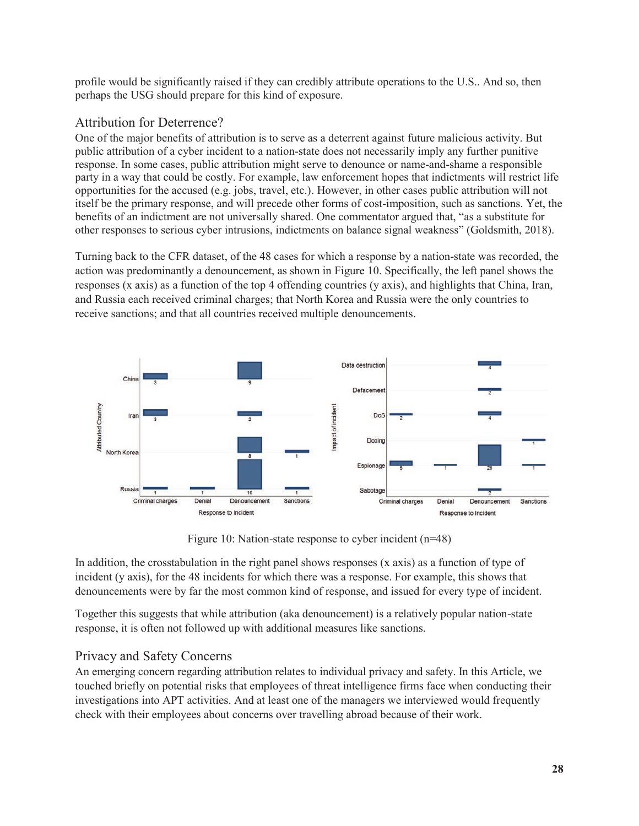profile would be significantly raised if they can credibly attribute operations to the U.S.. And so, then perhaps the USG should prepare for this kind of exposure.

#### Attribution for Deterrence?

One of the major benefits of attribution is to serve as a deterrent against future malicious activity. But public attribution of a cyber incident to a nation-state does not necessarily imply any further punitive response. In some cases, public attribution might serve to denounce or name-and-shame a responsible party in a way that could be costly. For example, law enforcement hopes that indictments will restrict life opportunities for the accused (e.g. jobs, travel, etc.). However, in other cases public attribution will not itself be the primary response, and will precede other forms of cost-imposition, such as sanctions. Yet, the benefits of an indictment are not universally shared. One commentator argued that, "as a substitute for other responses to serious cyber intrusions, indictments on balance signal weakness" (Goldsmith, 2018).

Turning back to the CFR dataset, of the 48 cases for which a response by a nation-state was recorded, the action was predominantly a denouncement, as shown in Figure 10. Specifically, the left panel shows the responses (x axis) as a function of the top 4 offending countries (y axis), and highlights that China, Iran, and Russia each received criminal charges; that North Korea and Russia were the only countries to receive sanctions; and that all countries received multiple denouncements.



Figure 10: Nation-state response to cyber incident (n=48)

In addition, the crosstabulation in the right panel shows responses (x axis) as a function of type of incident (y axis), for the 48 incidents for which there was a response. For example, this shows that denouncements were by far the most common kind of response, and issued for every type of incident.

Together this suggests that while attribution (aka denouncement) is a relatively popular nation-state response, it is often not followed up with additional measures like sanctions.

### Privacy and Safety Concerns

An emerging concern regarding attribution relates to individual privacy and safety. In this Article, we touched briefly on potential risks that employees of threat intelligence firms face when conducting their investigations into APT activities. And at least one of the managers we interviewed would frequently check with their employees about concerns over travelling abroad because of their work.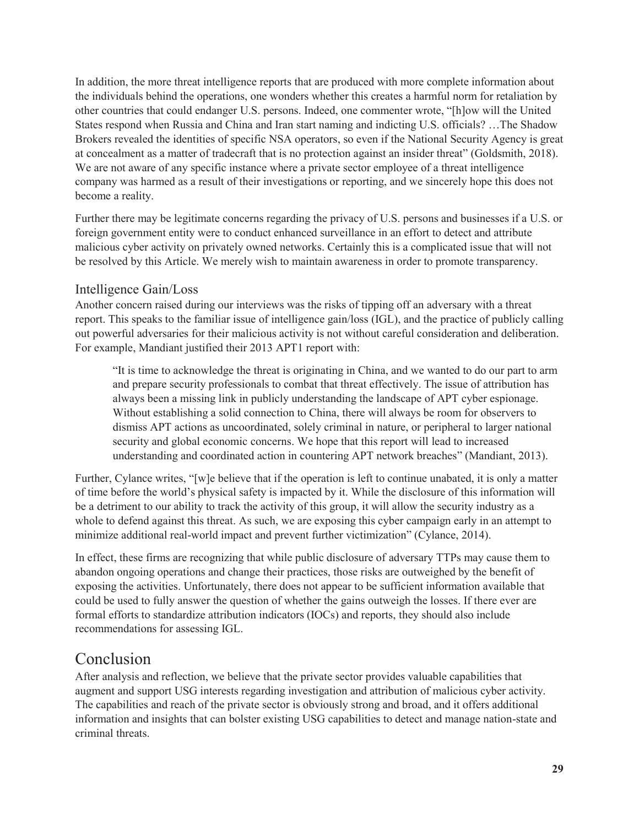In addition, the more threat intelligence reports that are produced with more complete information about the individuals behind the operations, one wonders whether this creates a harmful norm for retaliation by other countries that could endanger U.S. persons. Indeed, one commenter wrote, "[h]ow will the United States respond when Russia and China and Iran start naming and indicting U.S. officials? …The Shadow Brokers revealed the identities of specific NSA operators, so even if the National Security Agency is great at concealment as a matter of tradecraft that is no protection against an insider threat" (Goldsmith, 2018). We are not aware of any specific instance where a private sector employee of a threat intelligence company was harmed as a result of their investigations or reporting, and we sincerely hope this does not become a reality.

Further there may be legitimate concerns regarding the privacy of U.S. persons and businesses if a U.S. or foreign government entity were to conduct enhanced surveillance in an effort to detect and attribute malicious cyber activity on privately owned networks. Certainly this is a complicated issue that will not be resolved by this Article. We merely wish to maintain awareness in order to promote transparency.

#### Intelligence Gain/Loss

Another concern raised during our interviews was the risks of tipping off an adversary with a threat report. This speaks to the familiar issue of intelligence gain/loss (IGL), and the practice of publicly calling out powerful adversaries for their malicious activity is not without careful consideration and deliberation. For example, Mandiant justified their 2013 APT1 report with:

"It is time to acknowledge the threat is originating in China, and we wanted to do our part to arm and prepare security professionals to combat that threat effectively. The issue of attribution has always been a missing link in publicly understanding the landscape of APT cyber espionage. Without establishing a solid connection to China, there will always be room for observers to dismiss APT actions as uncoordinated, solely criminal in nature, or peripheral to larger national security and global economic concerns. We hope that this report will lead to increased understanding and coordinated action in countering APT network breaches" (Mandiant, 2013).

Further, Cylance writes, "[w]e believe that if the operation is left to continue unabated, it is only a matter of time before the world's physical safety is impacted by it. While the disclosure of this information will be a detriment to our ability to track the activity of this group, it will allow the security industry as a whole to defend against this threat. As such, we are exposing this cyber campaign early in an attempt to minimize additional real-world impact and prevent further victimization" (Cylance, 2014).

In effect, these firms are recognizing that while public disclosure of adversary TTPs may cause them to abandon ongoing operations and change their practices, those risks are outweighed by the benefit of exposing the activities. Unfortunately, there does not appear to be sufficient information available that could be used to fully answer the question of whether the gains outweigh the losses. If there ever are formal efforts to standardize attribution indicators (IOCs) and reports, they should also include recommendations for assessing IGL.

## Conclusion

After analysis and reflection, we believe that the private sector provides valuable capabilities that augment and support USG interests regarding investigation and attribution of malicious cyber activity. The capabilities and reach of the private sector is obviously strong and broad, and it offers additional information and insights that can bolster existing USG capabilities to detect and manage nation-state and criminal threats.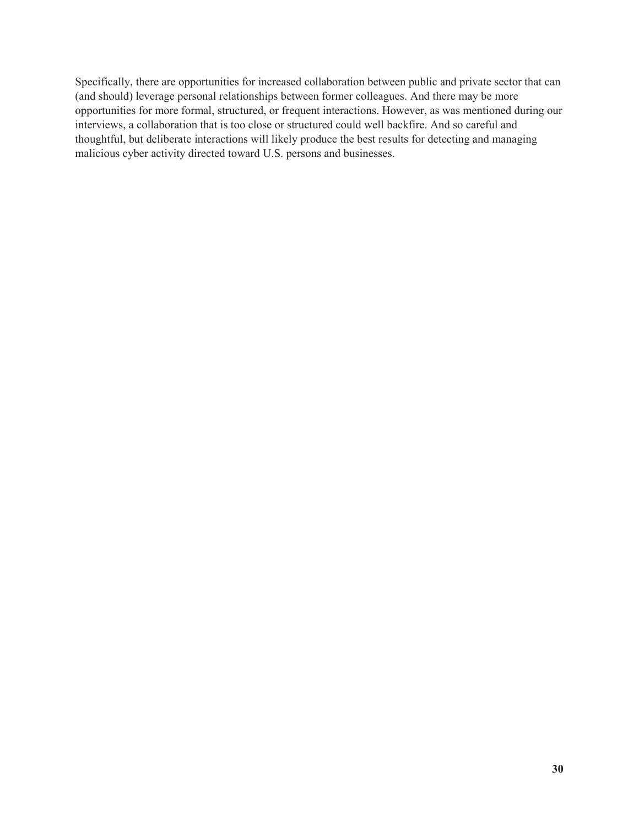Specifically, there are opportunities for increased collaboration between public and private sector that can (and should) leverage personal relationships between former colleagues. And there may be more opportunities for more formal, structured, or frequent interactions. However, as was mentioned during our interviews, a collaboration that is too close or structured could well backfire. And so careful and thoughtful, but deliberate interactions will likely produce the best results for detecting and managing malicious cyber activity directed toward U.S. persons and businesses.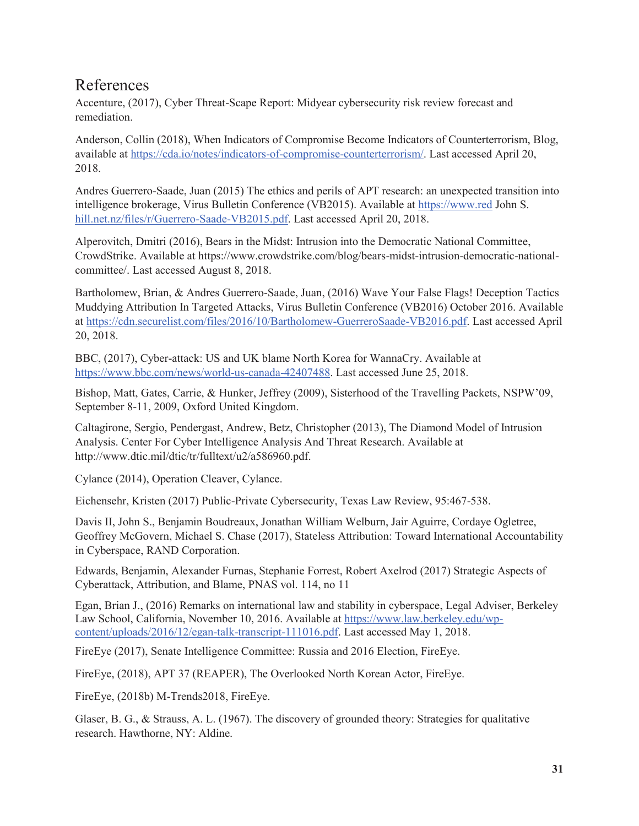### References

Accenture, (2017), Cyber Threat-Scape Report: Midyear cybersecurity risk review forecast and remediation.

Anderson, Collin (2018), When Indicators of Compromise Become Indicators of Counterterrorism, Blog, available at<https://cda.io/notes/indicators-of-compromise-counterterrorism/>. Last accessed April 20, 2018.

Andres Guerrero-Saade, Juan (2015) The ethics and perils of APT research: an unexpected transition into intelligence brokerage, Virus Bulletin Conference (VB2015). Available at https://www.red John S. hill.net.nz/files/r/Guerrero-Saade-VB2015.pdf. Last accessed April 20, 2018.

Alperovitch, Dmitri (2016), Bears in the Midst: Intrusion into the Democratic National Committee, [CrowdStrike. Available at https://www.crowdstrike.com/blog/bears-midst-intrusion-democratic-national](https://www.crowdstrike.com/blog/bears-midst-intrusion-democratic-national-committee/.31)committee/. Last accessed August 8, 2018.

Bartholomew, Brian, & Andres Guerrero-Saade, Juan, (2016) Wave Your False Flags! Deception Tactics Muddying Attribution In Targeted Attacks, Virus Bulletin Conference (VB2016) October 2016. Available at [https://cdn.securelist.com/files/2016/10/Bartholomew-GuerreroSaade-VB2016.pdf.](https://cdn.securelist.com/files/2016/10/Bartholomew-GuerreroSaade-VB2016.pdf) Last accessed April 20, 2018.

BBC, (2017), Cyber-attack: US and UK blame North Korea for WannaCry. Available at [https://www.bbc.com/news/world-us-canada-42407488.](https://www.bbc.com/news/world-us-canada-42407488) Last accessed June 25, 2018.

Bishop, Matt, Gates, Carrie, & Hunker, Jeffrey (2009), Sisterhood of the Travelling Packets, NSPW'09, September 8-11, 2009, Oxford United Kingdom.

Caltagirone, Sergio, Pendergast, Andrew, Betz, Christopher (2013), The Diamond Model of Intrusion Analysis. Center For Cyber Intelligence Analysis And Threat Research. Available at [http://www.dtic.mil/dtic/tr/fulltext/u2/a586960.pdf.](http://www.dtic.mil/dtic/tr/fulltext/u2/a586960.pdf) 

Cylance (2014), Operation Cleaver, Cylance.

Eichensehr, Kristen (2017) Public-Private Cybersecurity, Texas Law Review, 95:467-538.

Davis II, John S., Benjamin Boudreaux, Jonathan William Welburn, Jair Aguirre, Cordaye Ogletree, Geoffrey McGovern, Michael S. Chase (2017), Stateless Attribution: Toward International Accountability in Cyberspace, RAND Corporation.

Edwards, Benjamin, Alexander Furnas, Stephanie Forrest, Robert Axelrod (2017) Strategic Aspects of Cyberattack, Attribution, and Blame, PNAS vol. 114, no 11

Egan, Brian J., (2016) Remarks on international law and stability in cyberspace, Legal Adviser, Berkeley [Law School, California, November 10, 2016. Available at https://www.law.berkeley.edu/wp](https://www.law.berkeley.edu/wp-content/uploads/2016/12/egan-talk-transcript-111016.pdf)content/uploads/2016/12/egan-talk-transcript-111016.pdf. Last accessed May 1, 2018.

FireEye (2017), Senate Intelligence Committee: Russia and 2016 Election, FireEye.

FireEye, (2018), APT 37 (REAPER), The Overlooked North Korean Actor, FireEye.

FireEye, (2018b) M-Trends2018, FireEye.

Glaser, B. G., & Strauss, A. L. (1967). The discovery of grounded theory: Strategies for qualitative research. Hawthorne, NY: Aldine.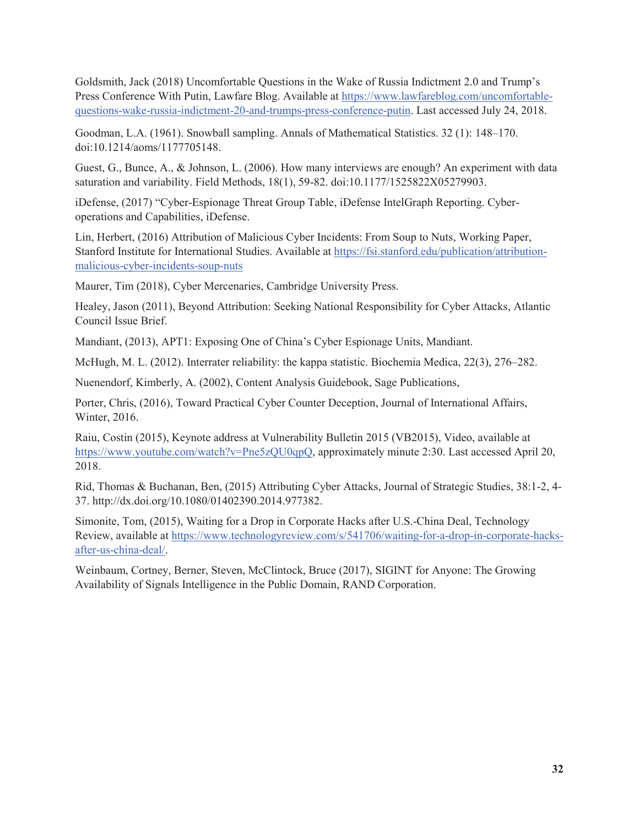Goldsmith, Jack (2018) Uncomfortable Questions in the Wake of Russia Indictment 2.0 and Trump's [Press Conference With Putin, Lawfare Blog. Available at https://www.lawfareblog.com/uncomfortable](https://www.lawfareblog.com/uncomfortable-questions-wake-russia-indictment-20-and-trumps-press-conference-putin)questions-wake-russia-indictment-20-and-trumps-press-conference-putin. Last accessed July 24, 2018.

Goodman, L.A. (1961). Snowball sampling. Annals of Mathematical Statistics. 32 (1): 148–170. doi:10.1214/aoms/1177705148.

Guest, G., Bunce, A., & Johnson, L. (2006). How many interviews are enough? An experiment with data saturation and variability. Field Methods, 18(1), 59-82. doi:10.1177/1525822X05279903.

iDefense, (2017) "Cyber-Espionage Threat Group Table, iDefense IntelGraph Reporting. Cyberoperations and Capabilities, iDefense.

Lin, Herbert, (2016) Attribution of Malicious Cyber Incidents: From Soup to Nuts, Working Paper, [Stanford Institute for International Studies. Available at https://fsi.stanford.edu/publication/attribution](https://fsi.stanford.edu/publication/attribution-malicious-cyber-incidents-soup-nuts)malicious-cyber-incidents-soup-nuts

Maurer, Tim (2018), Cyber Mercenaries, Cambridge University Press.

Healey, Jason (2011), Beyond Attribution: Seeking National Responsibility for Cyber Attacks, Atlantic Council Issue Brief.

Mandiant, (2013), APT1: Exposing One of China's Cyber Espionage Units, Mandiant.

McHugh, M. L. (2012). Interrater reliability: the kappa statistic. Biochemia Medica, 22(3), 276–282.

Nuenendorf, Kimberly, A. (2002), Content Analysis Guidebook, Sage Publications,

Porter, Chris, (2016), Toward Practical Cyber Counter Deception, Journal of International Affairs, Winter, 2016.

Raiu, Costin (2015), Keynote address at Vulnerability Bulletin 2015 (VB2015), Video, available at [https://www.youtube.com/watch?v=Pne5zQU0qpQ,](https://www.youtube.com/watch?v=Pne5zQU0qpQ) approximately minute 2:30. Last accessed April 20, 2018.

Rid, Thomas & Buchanan, Ben, (2015) Attributing Cyber Attacks, Journal of Strategic Studies, 38:1-2, 4- 37. [http://dx.doi.org/10.1080/01402390.2014.977382.](http://dx.doi.org/10.1080/01402390.2014.977382) 

Simonite, Tom, (2015), Waiting for a Drop in Corporate Hacks after U.S.-China Deal, Technology [Review, available at https://www.technologyreview.com/s/541706/waiting-for-a-drop-in-corporate-hacks](https://www.technologyreview.com/s/541706/waiting-for-a-drop-in-corporate-hacks-after-us-china-deal/)after-us-china-deal/.

Weinbaum, Cortney, Berner, Steven, McClintock, Bruce (2017), SIGINT for Anyone: The Growing Availability of Signals Intelligence in the Public Domain, RAND Corporation.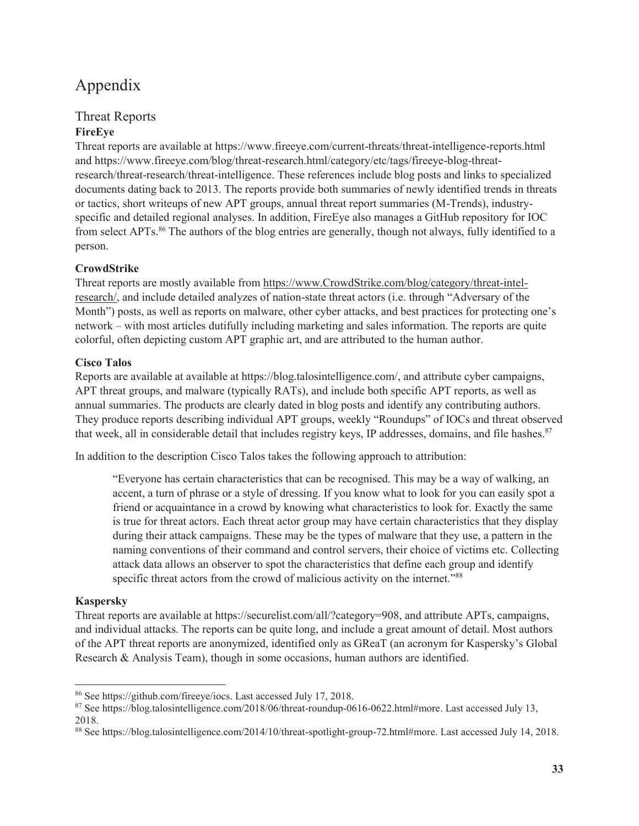## Appendix

## Threat Reports

## **FireEye**

Threat reports are available at<https://www.fireeye.com/current-threats/threat-intelligence-reports.html> and https://www.fireeye.com/blog/threat-research.html/category/etc/tags/fireeye-blog-threat[research/threat-research/threat-intelligence. These references include blog posts and links to specialized](https://www.fireeye.com/blog/threat-research.html/category/etc/tags/fireeye-blog-threat-research/threat-research/threat-intelligence)  documents dating back to 2013. The reports provide both summaries of newly identified trends in threats or tactics, short writeups of new APT groups, annual threat report summaries (M-Trends), industryspecific and detailed regional analyses. In addition, FireEye also manages a GitHub repository for IOC from select APTs.86 The authors of the blog entries are generally, though not always, fully identified to a person.

#### **CrowdStrike**

[Threat reports are mostly available from https://www.CrowdStrike.com/blog/category/threat-intel](https://www.CrowdStrike.com/blog/category/threat-intel-research/)research/, and include detailed analyzes of nation-state threat actors (i.e. through "Adversary of the Month") posts, as well as reports on malware, other cyber attacks, and best practices for protecting one's network – with most articles dutifully including marketing and sales information. The reports are quite colorful, often depicting custom APT graphic art, and are attributed to the human author.

#### **Cisco Talos**

Reports are available at available at <https://blog.talosintelligence.com/>, and attribute cyber campaigns, APT threat groups, and malware (typically RATs), and include both specific APT reports, as well as annual summaries. The products are clearly dated in blog posts and identify any contributing authors. They produce reports describing individual APT groups, weekly "Roundups" of IOCs and threat observed that week, all in considerable detail that includes registry keys, IP addresses, domains, and file hashes.<sup>87</sup>

In addition to the description Cisco Talos takes the following approach to attribution:

"Everyone has certain characteristics that can be recognised. This may be a way of walking, an accent, a turn of phrase or a style of dressing. If you know what to look for you can easily spot a friend or acquaintance in a crowd by knowing what characteristics to look for. Exactly the same is true for threat actors. Each threat actor group may have certain characteristics that they display during their attack campaigns. These may be the types of malware that they use, a pattern in the naming conventions of their command and control servers, their choice of victims etc. Collecting attack data allows an observer to spot the characteristics that define each group and identify specific threat actors from the crowd of malicious activity on the internet."<sup>88</sup>

#### **Kaspersky**

 $\overline{a}$ 

Threat reports are available at [https://securelist.com/all/?category=908,](https://securelist.com/all/?category=908) and attribute APTs, campaigns, and individual attacks. The reports can be quite long, and include a great amount of detail. Most authors of the APT threat reports are anonymized, identified only as GReaT (an acronym for Kaspersky's Global Research & Analysis Team), though in some occasions, human authors are identified.

<sup>86</sup> See [https://github.com/fireeye/iocs. L](https://github.com/fireeye/iocs)ast accessed July 17, 2018.

<sup>87</sup> See [https://blog.talosintelligence.com/2018/06/threat-roundup-0616-0622.html#more.](https://blog.talosintelligence.com/2018/06/threat-roundup-0616-0622.html#more) Last accessed July 13, 2018.

<sup>88</sup> See [https://blog.talosintelligence.com/2014/10/threat-spotlight-group-72.html#more.](https://blog.talosintelligence.com/2014/10/threat-spotlight-group-72.html#more) Last accessed July 14, 2018.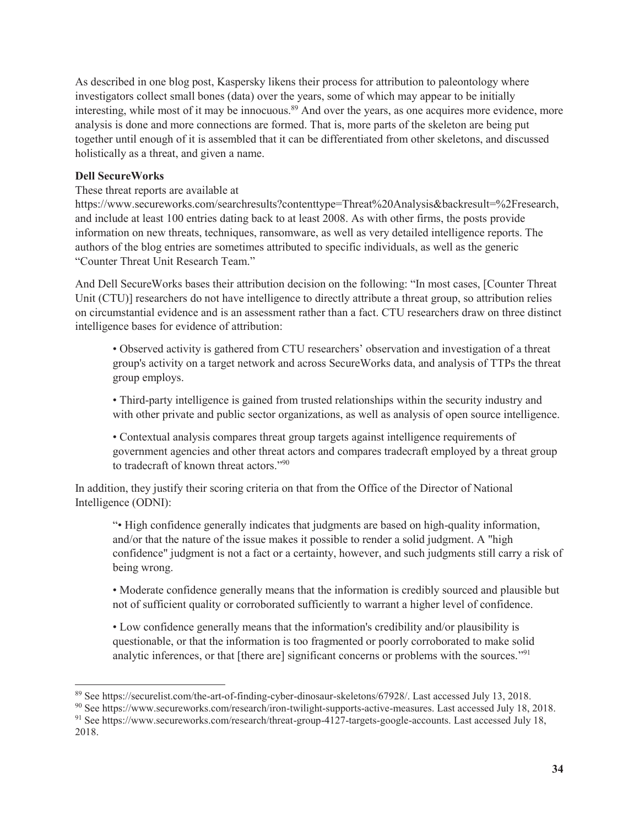As described in one blog post, Kaspersky likens their process for attribution to paleontology where investigators collect small bones (data) over the years, some of which may appear to be initially interesting, while most of it may be innocuous.<sup>89</sup> And over the years, as one acquires more evidence, more analysis is done and more connections are formed. That is, more parts of the skeleton are being put together until enough of it is assembled that it can be differentiated from other skeletons, and discussed holistically as a threat, and given a name.

#### **Dell SecureWorks**

#### These threat reports are available at

[https://www.secureworks.com/searchresults?contenttype=Threat%20Analysis&backresult=%2Fresearch,](https://www.secureworks.com/searchresults?contenttype=Threat%20Analysis&backresult=%2Fresearch)  and include at least 100 entries dating back to at least 2008. As with other firms, the posts provide information on new threats, techniques, ransomware, as well as very detailed intelligence reports. The authors of the blog entries are sometimes attributed to specific individuals, as well as the generic "Counter Threat Unit Research Team."

And Dell SecureWorks bases their attribution decision on the following: "In most cases, [Counter Threat Unit (CTU)] researchers do not have intelligence to directly attribute a threat group, so attribution relies on circumstantial evidence and is an assessment rather than a fact. CTU researchers draw on three distinct intelligence bases for evidence of attribution:

• Observed activity is gathered from CTU researchers' observation and investigation of a threat group's activity on a target network and across SecureWorks data, and analysis of TTPs the threat group employs.

• Third-party intelligence is gained from trusted relationships within the security industry and with other private and public sector organizations, as well as analysis of open source intelligence.

• Contextual analysis compares threat group targets against intelligence requirements of government agencies and other threat actors and compares tradecraft employed by a threat group to tradecraft of known threat actors."<sup>90</sup>

In addition, they justify their scoring criteria on that from the Office of the Director of National Intelligence (ODNI):

"• High confidence generally indicates that judgments are based on high-quality information, and/or that the nature of the issue makes it possible to render a solid judgment. A "high confidence" judgment is not a fact or a certainty, however, and such judgments still carry a risk of being wrong.

• Moderate confidence generally means that the information is credibly sourced and plausible but not of sufficient quality or corroborated sufficiently to warrant a higher level of confidence.

• Low confidence generally means that the information's credibility and/or plausibility is questionable, or that the information is too fragmented or poorly corroborated to make solid analytic inferences, or that [there are] significant concerns or problems with the sources."<sup>91</sup>

 $\overline{a}$ 

<sup>&</sup>lt;sup>89</sup> See [https://securelist.com/the-art-of-finding-cyber-dinosaur-skeletons/67928/.](https://securelist.com/the-art-of-finding-cyber-dinosaur-skeletons/67928/) [Last a](https://www.secureworks.com/research/iron-twilight-supports-active-measures)ccessed July 13, 2018.<br><sup>90</sup> See [https://www.secureworks.com/research/iron-twilight-supports-active-measures.](https://www.secureworks.com/research/iron-twilight-supports-active-measures) [Las](https://www.secureworks.com/research/threat-group-4127-targets-google-accounts)t accessed July 18,

<sup>2018.</sup>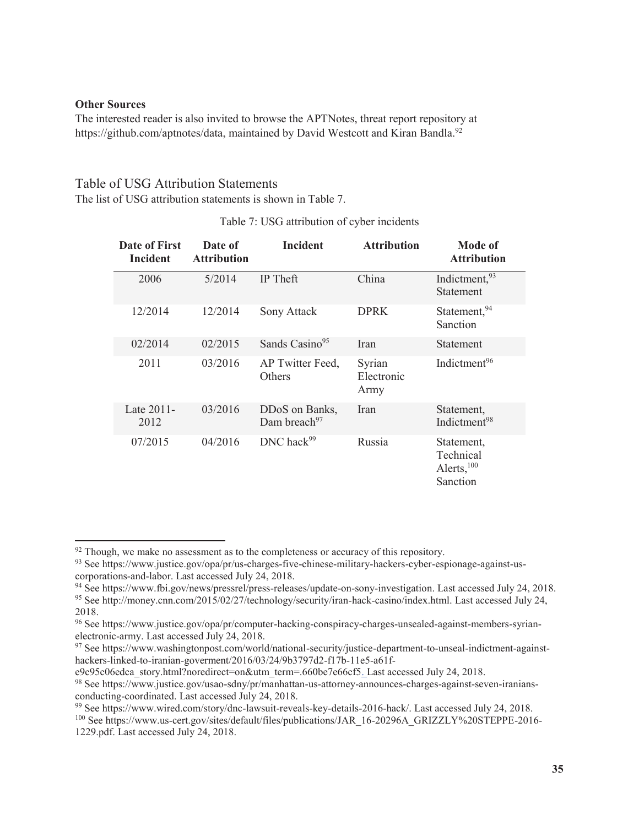#### **Other Sources**

 $\overline{a}$ 

The interested reader is also invited to browse the APTNotes, threat report repository at [https://github.com/aptnotes/data,](https://github.com/aptnotes/data) maintained by David Westcott and Kiran Bandla.<sup>92</sup>

#### Table of USG Attribution Statements

The list of USG attribution statements is shown in Table 7.

| Date of First<br><b>Incident</b> | Date of<br><b>Attribution</b> | Incident                                   | <b>Attribution</b>           | Mode of<br><b>Attribution</b>                                 |
|----------------------------------|-------------------------------|--------------------------------------------|------------------------------|---------------------------------------------------------------|
| 2006                             | 5/2014                        | IP Theft                                   | China                        | Indictment, 93<br>Statement                                   |
| 12/2014                          | 12/2014                       | Sony Attack                                | <b>DPRK</b>                  | Statement, 94<br>Sanction                                     |
| 02/2014                          | 02/2015                       | Sands Casino <sup>95</sup>                 | Iran                         | Statement                                                     |
| 2011                             | 03/2016                       | AP Twitter Feed,<br>Others                 | Syrian<br>Electronic<br>Army | Indictment <sup>96</sup>                                      |
| Late 2011-<br>2012               | 03/2016                       | DDoS on Banks,<br>Dam breach <sup>97</sup> | Iran                         | Statement,<br>Indictment <sup>98</sup>                        |
| 07/2015                          | 04/2016                       | $DNC$ hack <sup>99</sup>                   | Russia                       | Statement,<br>Technical<br>Alerts, <sup>100</sup><br>Sanction |

Table 7: USG attribution of cyber incidents

<sup>94</sup> See [https://www.fbi.gov/news/pressrel/press-releases/update-on-sony-investigation.](https://www.fbi.gov/news/pressrel/press-releases/update-on-sony-investigation) Last accessed July 24, 2018.

 $92$  Though, we make no assessment as to the completeness or accuracy of this repository.

<sup>&</sup>lt;sup>93</sup> See https://www.justice.gov/opa/pr/us-charges-five-chinese-military-hackers-cyber-espionage-against-us-corporations-and-labor. Last accessed July 24, 2018.

<sup>95</sup> See [http://money.cnn.com/2015/02/27/technology/security/iran-hack-casino/index.html.](http://money.cnn.com/2015/02/27/technology/security/iran-hack-casino/index.html) Last accessed July 24, 2018.

[<sup>96</sup> See https://www.justice.gov/opa/pr/computer-hacking-conspiracy-charges-unsealed-against-members-syrian](https://www.justice.gov/opa/pr/computer-hacking-conspiracy-charges-unsealed-against-members-syrian-electronic-army)electronic-army. Last accessed July 24, 2018.

[<sup>97</sup> See https://www.washingtonpost.com/world/national-security/justice-department-to-unseal-indictment-against](https://www.washingtonpost.com/world/national-security/justice-department-to-unseal-indictment-against-hackers-linked-to-iranian-goverment/2016/03/24/9b3797d2-f17b-11e5-a61f-e9c95c06edca_story.html?noredirect=on&utm_term=.660be7e66cf5)hackers-linked-to-iranian-goverment/2016/03/24/9b3797d2-f17b-11e5-a61f-

e9c95c06edca\_story.html?noredirect=on&utm\_term=.660be7e66cf5. Last accessed July 24, 2018.<br><sup>98</sup> See https://www.justice.gov/usao-sdny/pr/manhattan-us-attorney-announces-charges-against-seven-iraniansconducting-coordinated. Last accessed July 24, 2018.

<sup>99</sup> See [https://www.wired.com/story/dnc-lawsuit-reveals-key-details-2016-hack/.](https://www.wired.com/story/dnc-lawsuit-reveals-key-details-2016-hack/) Last accessed July 24, 2018.

<sup>&</sup>lt;sup>100</sup> See https://www.us-cert.gov/sites/default/files/publications/JAR\_16-20296A\_GRIZZLY%20STEPPE-2016-1229.pdf. Last accessed July 24, 2018.